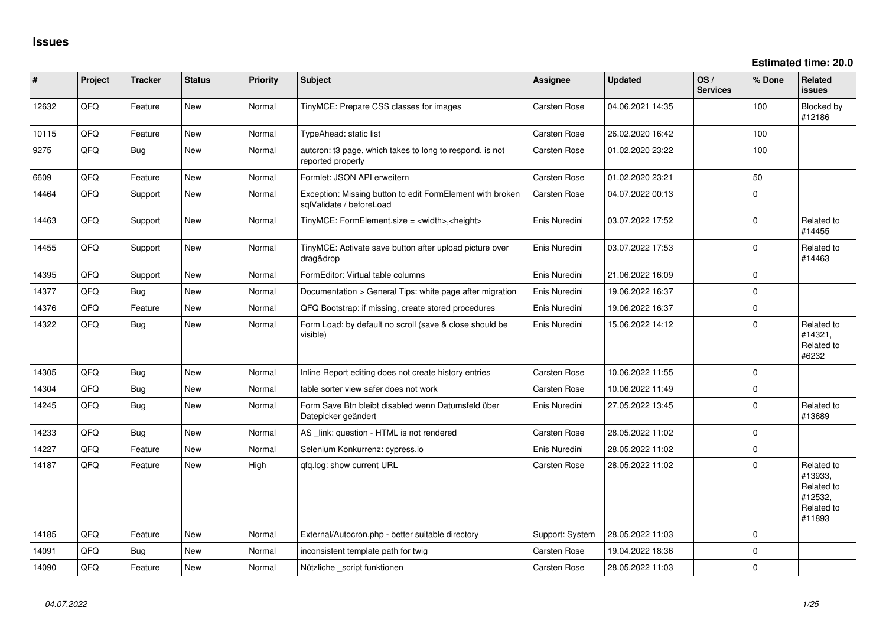**Estimated time: 20.0**

| #     | Project | <b>Tracker</b> | <b>Status</b> | <b>Priority</b> | <b>Subject</b>                                                                        | Assignee        | <b>Updated</b>   | OS/<br><b>Services</b> | % Done   | <b>Related</b><br><b>issues</b>                                        |
|-------|---------|----------------|---------------|-----------------|---------------------------------------------------------------------------------------|-----------------|------------------|------------------------|----------|------------------------------------------------------------------------|
| 12632 | QFQ     | Feature        | <b>New</b>    | Normal          | TinyMCE: Prepare CSS classes for images                                               | Carsten Rose    | 04.06.2021 14:35 |                        | 100      | Blocked by<br>#12186                                                   |
| 10115 | QFQ     | Feature        | <b>New</b>    | Normal          | TypeAhead: static list                                                                | Carsten Rose    | 26.02.2020 16:42 |                        | 100      |                                                                        |
| 9275  | QFQ     | Bug            | New           | Normal          | autcron: t3 page, which takes to long to respond, is not<br>reported properly         | Carsten Rose    | 01.02.2020 23:22 |                        | 100      |                                                                        |
| 6609  | QFQ     | Feature        | <b>New</b>    | Normal          | Formlet: JSON API erweitern                                                           | Carsten Rose    | 01.02.2020 23:21 |                        | 50       |                                                                        |
| 14464 | QFQ     | Support        | <b>New</b>    | Normal          | Exception: Missing button to edit FormElement with broken<br>sqlValidate / beforeLoad | Carsten Rose    | 04.07.2022 00:13 |                        | $\Omega$ |                                                                        |
| 14463 | QFQ     | Support        | New           | Normal          | TinyMCE: FormElement.size = <width>,<height></height></width>                         | Enis Nuredini   | 03.07.2022 17:52 |                        | $\Omega$ | Related to<br>#14455                                                   |
| 14455 | QFQ     | Support        | New           | Normal          | TinyMCE: Activate save button after upload picture over<br>drag&drop                  | Enis Nuredini   | 03.07.2022 17:53 |                        | $\Omega$ | Related to<br>#14463                                                   |
| 14395 | QFQ     | Support        | New           | Normal          | FormEditor: Virtual table columns                                                     | Enis Nuredini   | 21.06.2022 16:09 |                        | $\Omega$ |                                                                        |
| 14377 | QFQ     | Bug            | <b>New</b>    | Normal          | Documentation > General Tips: white page after migration                              | Enis Nuredini   | 19.06.2022 16:37 |                        | $\Omega$ |                                                                        |
| 14376 | QFQ     | Feature        | <b>New</b>    | Normal          | QFQ Bootstrap: if missing, create stored procedures                                   | Enis Nuredini   | 19.06.2022 16:37 |                        | $\Omega$ |                                                                        |
| 14322 | QFQ     | Bug            | New           | Normal          | Form Load: by default no scroll (save & close should be<br>visible)                   | Enis Nuredini   | 15.06.2022 14:12 |                        | $\Omega$ | Related to<br>#14321,<br>Related to<br>#6232                           |
| 14305 | QFQ     | <b>Bug</b>     | <b>New</b>    | Normal          | Inline Report editing does not create history entries                                 | Carsten Rose    | 10.06.2022 11:55 |                        | $\Omega$ |                                                                        |
| 14304 | QFQ     | <b>Bug</b>     | <b>New</b>    | Normal          | table sorter view safer does not work                                                 | Carsten Rose    | 10.06.2022 11:49 |                        | $\Omega$ |                                                                        |
| 14245 | QFG     | <b>Bug</b>     | <b>New</b>    | Normal          | Form Save Btn bleibt disabled wenn Datumsfeld über<br>Datepicker geändert             | Enis Nuredini   | 27.05.2022 13:45 |                        | $\Omega$ | Related to<br>#13689                                                   |
| 14233 | QFQ     | <b>Bug</b>     | <b>New</b>    | Normal          | AS _link: question - HTML is not rendered                                             | Carsten Rose    | 28.05.2022 11:02 |                        | $\Omega$ |                                                                        |
| 14227 | QFQ     | Feature        | <b>New</b>    | Normal          | Selenium Konkurrenz: cypress.io                                                       | Enis Nuredini   | 28.05.2022 11:02 |                        | $\Omega$ |                                                                        |
| 14187 | QFQ     | Feature        | New           | High            | qfq.log: show current URL                                                             | Carsten Rose    | 28.05.2022 11:02 |                        | $\Omega$ | Related to<br>#13933,<br>Related to<br>#12532,<br>Related to<br>#11893 |
| 14185 | QFQ     | Feature        | <b>New</b>    | Normal          | External/Autocron.php - better suitable directory                                     | Support: System | 28.05.2022 11:03 |                        | $\Omega$ |                                                                        |
| 14091 | QFQ     | Bug            | <b>New</b>    | Normal          | inconsistent template path for twig                                                   | Carsten Rose    | 19.04.2022 18:36 |                        | $\Omega$ |                                                                        |
| 14090 | QFQ     | Feature        | New           | Normal          | Nützliche _script funktionen                                                          | Carsten Rose    | 28.05.2022 11:03 |                        | $\Omega$ |                                                                        |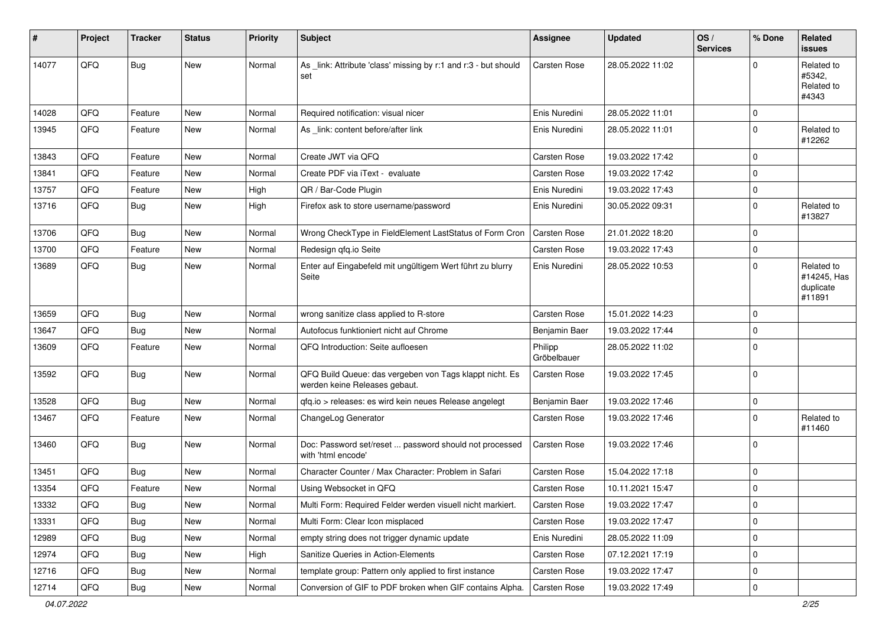| ∦     | Project | <b>Tracker</b> | <b>Status</b> | <b>Priority</b> | Subject                                                                                  | Assignee               | <b>Updated</b>   | OS/<br><b>Services</b> | % Done      | <b>Related</b><br>issues                         |
|-------|---------|----------------|---------------|-----------------|------------------------------------------------------------------------------------------|------------------------|------------------|------------------------|-------------|--------------------------------------------------|
| 14077 | QFQ     | <b>Bug</b>     | New           | Normal          | As _link: Attribute 'class' missing by r:1 and r:3 - but should<br>set                   | <b>Carsten Rose</b>    | 28.05.2022 11:02 |                        | 0           | Related to<br>#5342.<br>Related to<br>#4343      |
| 14028 | QFQ     | Feature        | <b>New</b>    | Normal          | Required notification: visual nicer                                                      | Enis Nuredini          | 28.05.2022 11:01 |                        | 0           |                                                  |
| 13945 | QFQ     | Feature        | New           | Normal          | As link: content before/after link                                                       | Enis Nuredini          | 28.05.2022 11:01 |                        | $\Omega$    | Related to<br>#12262                             |
| 13843 | QFQ     | Feature        | New           | Normal          | Create JWT via QFQ                                                                       | <b>Carsten Rose</b>    | 19.03.2022 17:42 |                        | 0           |                                                  |
| 13841 | QFQ     | Feature        | <b>New</b>    | Normal          | Create PDF via iText - evaluate                                                          | Carsten Rose           | 19.03.2022 17:42 |                        | 0           |                                                  |
| 13757 | QFQ     | Feature        | New           | High            | QR / Bar-Code Plugin                                                                     | Enis Nuredini          | 19.03.2022 17:43 |                        | 0           |                                                  |
| 13716 | QFQ     | Bug            | <b>New</b>    | High            | Firefox ask to store username/password                                                   | Enis Nuredini          | 30.05.2022 09:31 |                        | 0           | Related to<br>#13827                             |
| 13706 | QFQ     | <b>Bug</b>     | <b>New</b>    | Normal          | Wrong CheckType in FieldElement LastStatus of Form Cron                                  | <b>Carsten Rose</b>    | 21.01.2022 18:20 |                        | 0           |                                                  |
| 13700 | QFQ     | Feature        | <b>New</b>    | Normal          | Redesign qfq.io Seite                                                                    | <b>Carsten Rose</b>    | 19.03.2022 17:43 |                        | $\Omega$    |                                                  |
| 13689 | QFQ     | <b>Bug</b>     | New           | Normal          | Enter auf Eingabefeld mit ungültigem Wert führt zu blurry<br>Seite                       | Enis Nuredini          | 28.05.2022 10:53 |                        | 0           | Related to<br>#14245, Has<br>duplicate<br>#11891 |
| 13659 | QFQ     | <b>Bug</b>     | <b>New</b>    | Normal          | wrong sanitize class applied to R-store                                                  | <b>Carsten Rose</b>    | 15.01.2022 14:23 |                        | 0           |                                                  |
| 13647 | QFQ     | <b>Bug</b>     | <b>New</b>    | Normal          | Autofocus funktioniert nicht auf Chrome                                                  | Benjamin Baer          | 19.03.2022 17:44 |                        | 0           |                                                  |
| 13609 | QFQ     | Feature        | <b>New</b>    | Normal          | QFQ Introduction: Seite aufloesen                                                        | Philipp<br>Gröbelbauer | 28.05.2022 11:02 |                        | 0           |                                                  |
| 13592 | QFQ     | <b>Bug</b>     | New           | Normal          | QFQ Build Queue: das vergeben von Tags klappt nicht. Es<br>werden keine Releases gebaut. | <b>Carsten Rose</b>    | 19.03.2022 17:45 |                        | $\Omega$    |                                                  |
| 13528 | QFQ     | Bug            | <b>New</b>    | Normal          | qfq.io > releases: es wird kein neues Release angelegt                                   | Benjamin Baer          | 19.03.2022 17:46 |                        | $\mathbf 0$ |                                                  |
| 13467 | QFQ     | Feature        | <b>New</b>    | Normal          | ChangeLog Generator                                                                      | Carsten Rose           | 19.03.2022 17:46 |                        | 0           | Related to<br>#11460                             |
| 13460 | QFQ     | Bug            | <b>New</b>    | Normal          | Doc: Password set/reset  password should not processed<br>with 'html encode'             | Carsten Rose           | 19.03.2022 17:46 |                        | $\Omega$    |                                                  |
| 13451 | QFQ     | <b>Bug</b>     | New           | Normal          | Character Counter / Max Character: Problem in Safari                                     | <b>Carsten Rose</b>    | 15.04.2022 17:18 |                        | 0           |                                                  |
| 13354 | QFQ     | Feature        | <b>New</b>    | Normal          | Using Websocket in QFQ                                                                   | Carsten Rose           | 10.11.2021 15:47 |                        | $\mathbf 0$ |                                                  |
| 13332 | QFQ     | <b>Bug</b>     | New           | Normal          | Multi Form: Required Felder werden visuell nicht markiert.                               | Carsten Rose           | 19.03.2022 17:47 |                        | 0           |                                                  |
| 13331 | QFQ     | <b>Bug</b>     | New           | Normal          | Multi Form: Clear Icon misplaced                                                         | Carsten Rose           | 19.03.2022 17:47 |                        | 0           |                                                  |
| 12989 | QFQ     | Bug            | New           | Normal          | empty string does not trigger dynamic update                                             | Enis Nuredini          | 28.05.2022 11:09 |                        | 0           |                                                  |
| 12974 | QFQ     | <b>Bug</b>     | New           | High            | Sanitize Queries in Action-Elements                                                      | Carsten Rose           | 07.12.2021 17:19 |                        | 0           |                                                  |
| 12716 | QFQ     | <b>Bug</b>     | New           | Normal          | template group: Pattern only applied to first instance                                   | Carsten Rose           | 19.03.2022 17:47 |                        | 0           |                                                  |
| 12714 | QFQ     | Bug            | New           | Normal          | Conversion of GIF to PDF broken when GIF contains Alpha.                                 | Carsten Rose           | 19.03.2022 17:49 |                        | 0           |                                                  |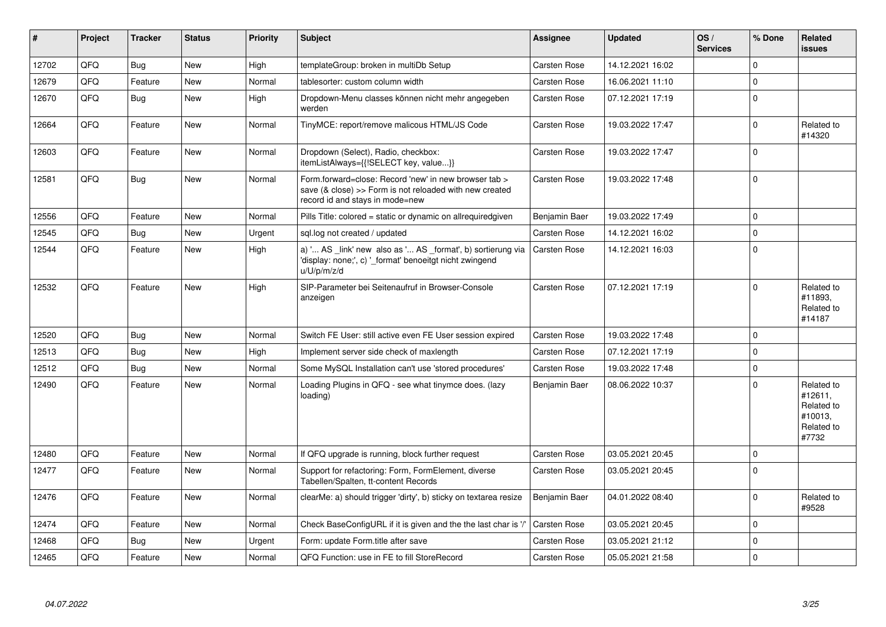| $\vert$ # | Project | <b>Tracker</b> | <b>Status</b> | <b>Priority</b> | Subject                                                                                                                                             | <b>Assignee</b>     | <b>Updated</b>   | OS/<br><b>Services</b> | % Done      | Related<br>issues                                                     |
|-----------|---------|----------------|---------------|-----------------|-----------------------------------------------------------------------------------------------------------------------------------------------------|---------------------|------------------|------------------------|-------------|-----------------------------------------------------------------------|
| 12702     | QFQ     | Bug            | <b>New</b>    | High            | templateGroup: broken in multiDb Setup                                                                                                              | <b>Carsten Rose</b> | 14.12.2021 16:02 |                        | $\Omega$    |                                                                       |
| 12679     | QFQ     | Feature        | <b>New</b>    | Normal          | tablesorter: custom column width                                                                                                                    | Carsten Rose        | 16.06.2021 11:10 |                        | $\mathbf 0$ |                                                                       |
| 12670     | QFQ     | Bug            | <b>New</b>    | High            | Dropdown-Menu classes können nicht mehr angegeben<br>werden                                                                                         | Carsten Rose        | 07.12.2021 17:19 |                        | $\mathbf 0$ |                                                                       |
| 12664     | QFQ     | Feature        | <b>New</b>    | Normal          | TinyMCE: report/remove malicous HTML/JS Code                                                                                                        | Carsten Rose        | 19.03.2022 17:47 |                        | $\Omega$    | Related to<br>#14320                                                  |
| 12603     | QFQ     | Feature        | <b>New</b>    | Normal          | Dropdown (Select), Radio, checkbox:<br>itemListAlways={{!SELECT key, value}}                                                                        | Carsten Rose        | 19.03.2022 17:47 |                        | $\mathbf 0$ |                                                                       |
| 12581     | QFQ     | <b>Bug</b>     | <b>New</b>    | Normal          | Form.forward=close: Record 'new' in new browser tab ><br>save (& close) >> Form is not reloaded with new created<br>record id and stays in mode=new | Carsten Rose        | 19.03.2022 17:48 |                        | $\Omega$    |                                                                       |
| 12556     | OFQ     | Feature        | <b>New</b>    | Normal          | Pills Title: colored = static or dynamic on allrequiredgiven                                                                                        | Benjamin Baer       | 19.03.2022 17:49 |                        | $\Omega$    |                                                                       |
| 12545     | QFQ     | <b>Bug</b>     | <b>New</b>    | Urgent          | sql.log not created / updated                                                                                                                       | Carsten Rose        | 14.12.2021 16:02 |                        | $\Omega$    |                                                                       |
| 12544     | QFQ     | Feature        | <b>New</b>    | High            | a) ' AS _link' new also as ' AS _format', b) sortierung via<br>'display: none;', c) ' format' benoeitgt nicht zwingend<br>u/U/p/m/z/d               | Carsten Rose        | 14.12.2021 16:03 |                        | $\Omega$    |                                                                       |
| 12532     | QFQ     | Feature        | <b>New</b>    | High            | SIP-Parameter bei Seitenaufruf in Browser-Console<br>anzeigen                                                                                       | Carsten Rose        | 07.12.2021 17:19 |                        | $\Omega$    | Related to<br>#11893.<br>Related to<br>#14187                         |
| 12520     | QFQ     | Bug            | <b>New</b>    | Normal          | Switch FE User: still active even FE User session expired                                                                                           | Carsten Rose        | 19.03.2022 17:48 |                        | $\mathbf 0$ |                                                                       |
| 12513     | QFQ     | Bug            | <b>New</b>    | High            | Implement server side check of maxlength                                                                                                            | <b>Carsten Rose</b> | 07.12.2021 17:19 |                        | $\Omega$    |                                                                       |
| 12512     | QFQ     | Bug            | <b>New</b>    | Normal          | Some MySQL Installation can't use 'stored procedures'                                                                                               | Carsten Rose        | 19.03.2022 17:48 |                        | $\Omega$    |                                                                       |
| 12490     | QFQ     | Feature        | <b>New</b>    | Normal          | Loading Plugins in QFQ - see what tinymce does. (lazy<br>loading)                                                                                   | Benjamin Baer       | 08.06.2022 10:37 |                        | $\Omega$    | Related to<br>#12611,<br>Related to<br>#10013.<br>Related to<br>#7732 |
| 12480     | QFQ     | Feature        | <b>New</b>    | Normal          | If QFQ upgrade is running, block further request                                                                                                    | Carsten Rose        | 03.05.2021 20:45 |                        | $\Omega$    |                                                                       |
| 12477     | QFQ     | Feature        | New           | Normal          | Support for refactoring: Form, FormElement, diverse<br>Tabellen/Spalten, tt-content Records                                                         | <b>Carsten Rose</b> | 03.05.2021 20:45 |                        | $\mathbf 0$ |                                                                       |
| 12476     | QFQ     | Feature        | <b>New</b>    | Normal          | clearMe: a) should trigger 'dirty', b) sticky on textarea resize                                                                                    | Benjamin Baer       | 04.01.2022 08:40 |                        | $\Omega$    | Related to<br>#9528                                                   |
| 12474     | QFQ     | Feature        | <b>New</b>    | Normal          | Check BaseConfigURL if it is given and the the last char is '/'                                                                                     | <b>Carsten Rose</b> | 03.05.2021 20:45 |                        | $\Omega$    |                                                                       |
| 12468     | QFQ     | <b>Bug</b>     | <b>New</b>    | Urgent          | Form: update Form.title after save                                                                                                                  | Carsten Rose        | 03.05.2021 21:12 |                        | $\Omega$    |                                                                       |
| 12465     | QFQ     | Feature        | New           | Normal          | QFQ Function: use in FE to fill StoreRecord                                                                                                         | Carsten Rose        | 05.05.2021 21:58 |                        | $\mathbf 0$ |                                                                       |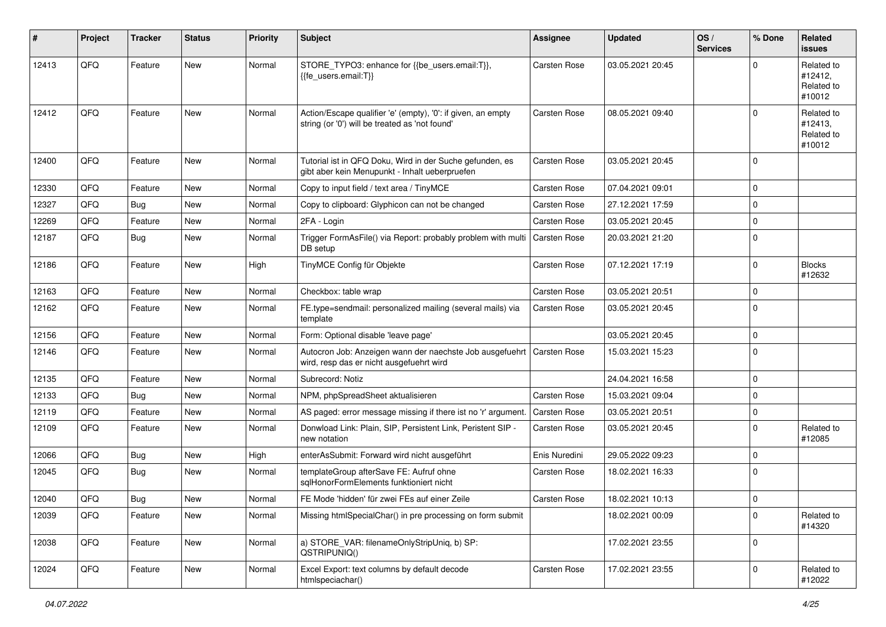| #     | Project | <b>Tracker</b> | <b>Status</b> | <b>Priority</b> | Subject                                                                                                             | <b>Assignee</b>     | <b>Updated</b>   | OS/<br><b>Services</b> | % Done      | Related<br>issues                             |
|-------|---------|----------------|---------------|-----------------|---------------------------------------------------------------------------------------------------------------------|---------------------|------------------|------------------------|-------------|-----------------------------------------------|
| 12413 | QFQ     | Feature        | New           | Normal          | STORE_TYPO3: enhance for {{be_users.email:T}},<br>{{fe users.email:T}}                                              | Carsten Rose        | 03.05.2021 20:45 |                        | 0           | Related to<br>#12412,<br>Related to<br>#10012 |
| 12412 | QFQ     | Feature        | New           | Normal          | Action/Escape qualifier 'e' (empty), '0': if given, an empty<br>string (or '0') will be treated as 'not found'      | Carsten Rose        | 08.05.2021 09:40 |                        | 0           | Related to<br>#12413,<br>Related to<br>#10012 |
| 12400 | QFQ     | Feature        | New           | Normal          | Tutorial ist in QFQ Doku, Wird in der Suche gefunden, es<br>gibt aber kein Menupunkt - Inhalt ueberpruefen          | <b>Carsten Rose</b> | 03.05.2021 20:45 |                        | $\mathbf 0$ |                                               |
| 12330 | QFQ     | Feature        | New           | Normal          | Copy to input field / text area / TinyMCE                                                                           | Carsten Rose        | 07.04.2021 09:01 |                        | 0           |                                               |
| 12327 | QFQ     | Bug            | New           | Normal          | Copy to clipboard: Glyphicon can not be changed                                                                     | <b>Carsten Rose</b> | 27.12.2021 17:59 |                        | $\mathbf 0$ |                                               |
| 12269 | QFQ     | Feature        | New           | Normal          | 2FA - Login                                                                                                         | <b>Carsten Rose</b> | 03.05.2021 20:45 |                        | 0           |                                               |
| 12187 | QFQ     | Bug            | New           | Normal          | Trigger FormAsFile() via Report: probably problem with multi<br>DB setup                                            | Carsten Rose        | 20.03.2021 21:20 |                        | $\Omega$    |                                               |
| 12186 | QFQ     | Feature        | New           | High            | TinyMCE Config für Objekte                                                                                          | Carsten Rose        | 07.12.2021 17:19 |                        | $\mathbf 0$ | <b>Blocks</b><br>#12632                       |
| 12163 | QFQ     | Feature        | New           | Normal          | Checkbox: table wrap                                                                                                | <b>Carsten Rose</b> | 03.05.2021 20:51 |                        | 0           |                                               |
| 12162 | QFQ     | Feature        | New           | Normal          | FE.type=sendmail: personalized mailing (several mails) via<br>template                                              | Carsten Rose        | 03.05.2021 20:45 |                        | $\Omega$    |                                               |
| 12156 | QFQ     | Feature        | New           | Normal          | Form: Optional disable 'leave page'                                                                                 |                     | 03.05.2021 20:45 |                        | 0           |                                               |
| 12146 | QFQ     | Feature        | New           | Normal          | Autocron Job: Anzeigen wann der naechste Job ausgefuehrt   Carsten Rose<br>wird, resp das er nicht ausgefuehrt wird |                     | 15.03.2021 15:23 |                        | $\mathbf 0$ |                                               |
| 12135 | QFQ     | Feature        | <b>New</b>    | Normal          | Subrecord: Notiz                                                                                                    |                     | 24.04.2021 16:58 |                        | 0           |                                               |
| 12133 | QFQ     | <b>Bug</b>     | New           | Normal          | NPM, phpSpreadSheet aktualisieren                                                                                   | <b>Carsten Rose</b> | 15.03.2021 09:04 |                        | $\Omega$    |                                               |
| 12119 | QFQ     | Feature        | New           | Normal          | AS paged: error message missing if there ist no 'r' argument.                                                       | <b>Carsten Rose</b> | 03.05.2021 20:51 |                        | 0           |                                               |
| 12109 | QFQ     | Feature        | New           | Normal          | Donwload Link: Plain, SIP, Persistent Link, Peristent SIP -<br>new notation                                         | Carsten Rose        | 03.05.2021 20:45 |                        | 0           | Related to<br>#12085                          |
| 12066 | QFQ     | <b>Bug</b>     | New           | High            | enterAsSubmit: Forward wird nicht ausgeführt                                                                        | Enis Nuredini       | 29.05.2022 09:23 |                        | 0           |                                               |
| 12045 | QFQ     | Bug            | New           | Normal          | templateGroup afterSave FE: Aufruf ohne<br>sqlHonorFormElements funktioniert nicht                                  | Carsten Rose        | 18.02.2021 16:33 |                        | $\mathbf 0$ |                                               |
| 12040 | QFQ     | Bug            | New           | Normal          | FE Mode 'hidden' für zwei FEs auf einer Zeile                                                                       | Carsten Rose        | 18.02.2021 10:13 |                        | $\mathbf 0$ |                                               |
| 12039 | QFQ     | Feature        | New           | Normal          | Missing htmlSpecialChar() in pre processing on form submit                                                          |                     | 18.02.2021 00:09 |                        | $\mathbf 0$ | Related to<br>#14320                          |
| 12038 | QFQ     | Feature        | New           | Normal          | a) STORE VAR: filenameOnlyStripUniq, b) SP:<br>QSTRIPUNIQ()                                                         |                     | 17.02.2021 23:55 |                        | 0           |                                               |
| 12024 | QFQ     | Feature        | New           | Normal          | Excel Export: text columns by default decode<br>htmlspeciachar()                                                    | Carsten Rose        | 17.02.2021 23:55 |                        | 0           | Related to<br>#12022                          |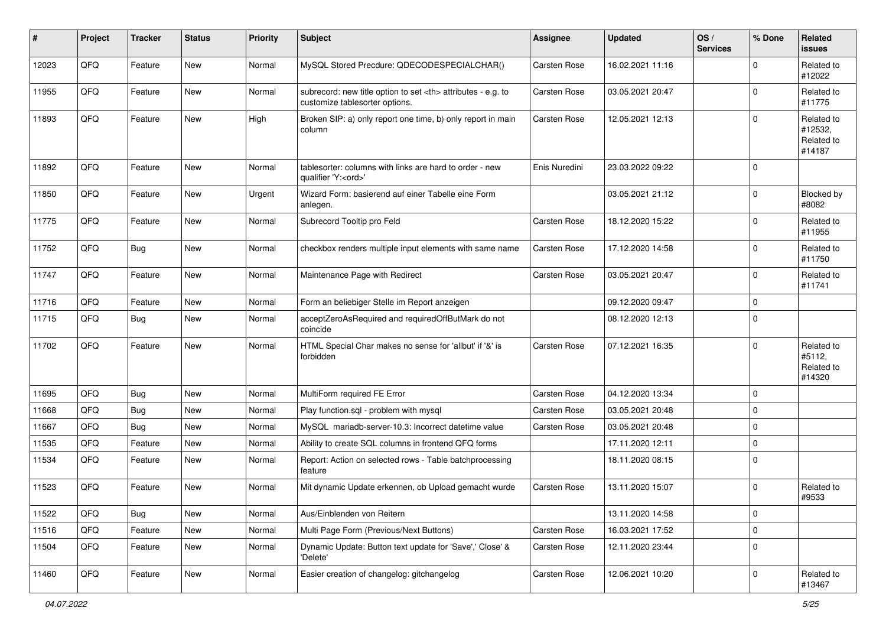| #     | Project | <b>Tracker</b> | <b>Status</b> | <b>Priority</b> | <b>Subject</b>                                                                                       | <b>Assignee</b>                                        | <b>Updated</b>   | OS/<br><b>Services</b> | % Done      | <b>Related</b><br>issues                      |                      |
|-------|---------|----------------|---------------|-----------------|------------------------------------------------------------------------------------------------------|--------------------------------------------------------|------------------|------------------------|-------------|-----------------------------------------------|----------------------|
| 12023 | QFQ     | Feature        | New           | Normal          | MySQL Stored Precdure: QDECODESPECIALCHAR()                                                          | Carsten Rose                                           | 16.02.2021 11:16 |                        | $\mathbf 0$ | Related to<br>#12022                          |                      |
| 11955 | QFQ     | Feature        | New           | Normal          | subrecord: new title option to set <th> attributes - e.g. to<br/>customize tablesorter options.</th> | attributes - e.g. to<br>customize tablesorter options. | Carsten Rose     | 03.05.2021 20:47       |             | $\Omega$                                      | Related to<br>#11775 |
| 11893 | QFQ     | Feature        | <b>New</b>    | High            | Broken SIP: a) only report one time, b) only report in main<br>column                                | Carsten Rose                                           | 12.05.2021 12:13 |                        | $\Omega$    | Related to<br>#12532,<br>Related to<br>#14187 |                      |
| 11892 | QFQ     | Feature        | New           | Normal          | tablesorter: columns with links are hard to order - new<br>qualifier 'Y: <ord>'</ord>                | Enis Nuredini                                          | 23.03.2022 09:22 |                        | $\mathbf 0$ |                                               |                      |
| 11850 | QFQ     | Feature        | <b>New</b>    | Urgent          | Wizard Form: basierend auf einer Tabelle eine Form<br>anlegen.                                       |                                                        | 03.05.2021 21:12 |                        | $\mathbf 0$ | Blocked by<br>#8082                           |                      |
| 11775 | QFQ     | Feature        | New           | Normal          | Subrecord Tooltip pro Feld                                                                           | Carsten Rose                                           | 18.12.2020 15:22 |                        | $\mathbf 0$ | Related to<br>#11955                          |                      |
| 11752 | QFQ     | <b>Bug</b>     | New           | Normal          | checkbox renders multiple input elements with same name                                              | Carsten Rose                                           | 17.12.2020 14:58 |                        | $\mathbf 0$ | Related to<br>#11750                          |                      |
| 11747 | QFQ     | Feature        | <b>New</b>    | Normal          | Maintenance Page with Redirect                                                                       | Carsten Rose                                           | 03.05.2021 20:47 |                        | $\Omega$    | Related to<br>#11741                          |                      |
| 11716 | QFQ     | Feature        | New           | Normal          | Form an beliebiger Stelle im Report anzeigen                                                         |                                                        | 09.12.2020 09:47 |                        | $\mathbf 0$ |                                               |                      |
| 11715 | QFQ     | <b>Bug</b>     | New           | Normal          | acceptZeroAsRequired and requiredOffButMark do not<br>coincide                                       |                                                        | 08.12.2020 12:13 |                        | $\mathbf 0$ |                                               |                      |
| 11702 | QFQ     | Feature        | <b>New</b>    | Normal          | HTML Special Char makes no sense for 'allbut' if '&' is<br>forbidden                                 | Carsten Rose                                           | 07.12.2021 16:35 |                        | $\mathbf 0$ | Related to<br>#5112,<br>Related to<br>#14320  |                      |
| 11695 | QFQ     | Bug            | New           | Normal          | MultiForm required FE Error                                                                          | <b>Carsten Rose</b>                                    | 04.12.2020 13:34 |                        | $\mathbf 0$ |                                               |                      |
| 11668 | QFQ     | <b>Bug</b>     | <b>New</b>    | Normal          | Play function.sql - problem with mysql                                                               | Carsten Rose                                           | 03.05.2021 20:48 |                        | 0           |                                               |                      |
| 11667 | QFQ     | <b>Bug</b>     | <b>New</b>    | Normal          | MySQL mariadb-server-10.3: Incorrect datetime value                                                  | Carsten Rose                                           | 03.05.2021 20:48 |                        | $\Omega$    |                                               |                      |
| 11535 | QFQ     | Feature        | <b>New</b>    | Normal          | Ability to create SQL columns in frontend QFQ forms                                                  |                                                        | 17.11.2020 12:11 |                        | $\mathbf 0$ |                                               |                      |
| 11534 | QFQ     | Feature        | New           | Normal          | Report: Action on selected rows - Table batchprocessing<br>feature                                   |                                                        | 18.11.2020 08:15 |                        | $\mathbf 0$ |                                               |                      |
| 11523 | QFQ     | Feature        | <b>New</b>    | Normal          | Mit dynamic Update erkennen, ob Upload gemacht wurde                                                 | Carsten Rose                                           | 13.11.2020 15:07 |                        | $\mathbf 0$ | Related to<br>#9533                           |                      |
| 11522 | QFQ     | Bug            | New           | Normal          | Aus/Einblenden von Reitern                                                                           |                                                        | 13.11.2020 14:58 |                        | 0           |                                               |                      |
| 11516 | QFQ     | Feature        | New           | Normal          | Multi Page Form (Previous/Next Buttons)                                                              | Carsten Rose                                           | 16.03.2021 17:52 |                        | 0           |                                               |                      |
| 11504 | QFQ     | Feature        | New           | Normal          | Dynamic Update: Button text update for 'Save',' Close' &<br>'Delete'                                 | Carsten Rose                                           | 12.11.2020 23:44 |                        | $\mathbf 0$ |                                               |                      |
| 11460 | QFQ     | Feature        | New           | Normal          | Easier creation of changelog: gitchangelog                                                           | Carsten Rose                                           | 12.06.2021 10:20 |                        | 0           | Related to<br>#13467                          |                      |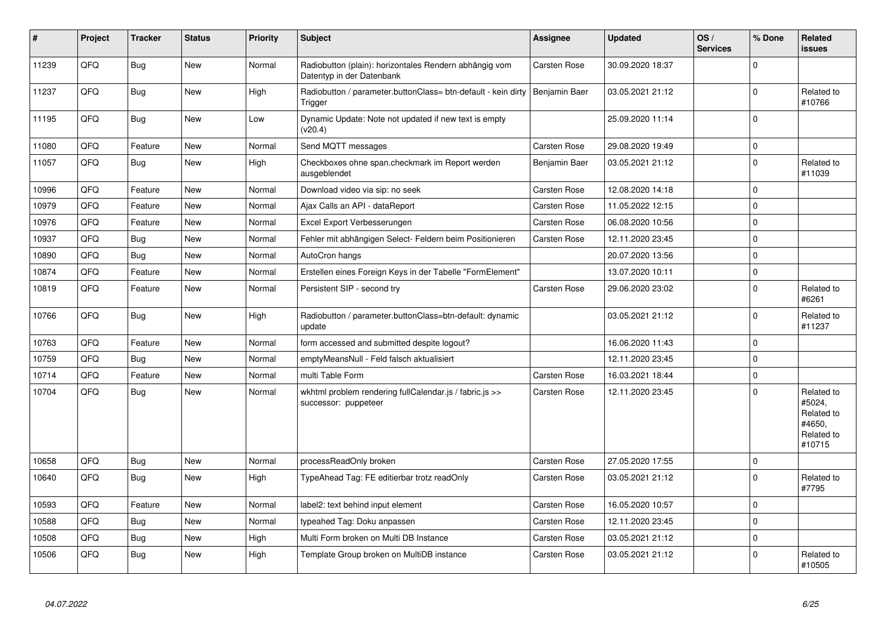| $\vert$ # | Project | <b>Tracker</b> | <b>Status</b> | <b>Priority</b> | <b>Subject</b>                                                                      | Assignee      | <b>Updated</b>   | OS/<br><b>Services</b> | % Done       | Related<br>issues                                                    |
|-----------|---------|----------------|---------------|-----------------|-------------------------------------------------------------------------------------|---------------|------------------|------------------------|--------------|----------------------------------------------------------------------|
| 11239     | QFQ     | <b>Bug</b>     | <b>New</b>    | Normal          | Radiobutton (plain): horizontales Rendern abhängig vom<br>Datentyp in der Datenbank | Carsten Rose  | 30.09.2020 18:37 |                        | $\mathbf{0}$ |                                                                      |
| 11237     | QFQ     | <b>Bug</b>     | <b>New</b>    | High            | Radiobutton / parameter.buttonClass= btn-default - kein dirty<br>Trigger            | Benjamin Baer | 03.05.2021 21:12 |                        | $\pmb{0}$    | Related to<br>#10766                                                 |
| 11195     | QFQ     | <b>Bug</b>     | New           | Low             | Dynamic Update: Note not updated if new text is empty<br>(v20.4)                    |               | 25.09.2020 11:14 |                        | $\Omega$     |                                                                      |
| 11080     | QFQ     | Feature        | <b>New</b>    | Normal          | Send MQTT messages                                                                  | Carsten Rose  | 29.08.2020 19:49 |                        | $\pmb{0}$    |                                                                      |
| 11057     | QFQ     | Bug            | New           | High            | Checkboxes ohne span.checkmark im Report werden<br>ausgeblendet                     | Benjamin Baer | 03.05.2021 21:12 |                        | $\pmb{0}$    | Related to<br>#11039                                                 |
| 10996     | QFQ     | Feature        | <b>New</b>    | Normal          | Download video via sip: no seek                                                     | Carsten Rose  | 12.08.2020 14:18 |                        | $\mathbf{0}$ |                                                                      |
| 10979     | QFQ     | Feature        | <b>New</b>    | Normal          | Ajax Calls an API - dataReport                                                      | Carsten Rose  | 11.05.2022 12:15 |                        | $\mathbf{0}$ |                                                                      |
| 10976     | QFQ     | Feature        | <b>New</b>    | Normal          | Excel Export Verbesserungen                                                         | Carsten Rose  | 06.08.2020 10:56 |                        | $\pmb{0}$    |                                                                      |
| 10937     | QFQ     | <b>Bug</b>     | <b>New</b>    | Normal          | Fehler mit abhängigen Select- Feldern beim Positionieren                            | Carsten Rose  | 12.11.2020 23:45 |                        | $\mathbf 0$  |                                                                      |
| 10890     | QFQ     | <b>Bug</b>     | <b>New</b>    | Normal          | AutoCron hangs                                                                      |               | 20.07.2020 13:56 |                        | $\pmb{0}$    |                                                                      |
| 10874     | QFQ     | Feature        | <b>New</b>    | Normal          | Erstellen eines Foreign Keys in der Tabelle "FormElement"                           |               | 13.07.2020 10:11 |                        | $\pmb{0}$    |                                                                      |
| 10819     | QFQ     | Feature        | <b>New</b>    | Normal          | Persistent SIP - second try                                                         | Carsten Rose  | 29.06.2020 23:02 |                        | $\pmb{0}$    | Related to<br>#6261                                                  |
| 10766     | QFQ     | Bug            | New           | High            | Radiobutton / parameter.buttonClass=btn-default: dynamic<br>update                  |               | 03.05.2021 21:12 |                        | $\pmb{0}$    | Related to<br>#11237                                                 |
| 10763     | QFQ     | Feature        | <b>New</b>    | Normal          | form accessed and submitted despite logout?                                         |               | 16.06.2020 11:43 |                        | $\mathbf{0}$ |                                                                      |
| 10759     | QFQ     | Bug            | New           | Normal          | emptyMeansNull - Feld falsch aktualisiert                                           |               | 12.11.2020 23:45 |                        | $\pmb{0}$    |                                                                      |
| 10714     | QFQ     | Feature        | New           | Normal          | multi Table Form                                                                    | Carsten Rose  | 16.03.2021 18:44 |                        | $\pmb{0}$    |                                                                      |
| 10704     | QFQ     | Bug            | New           | Normal          | wkhtml problem rendering fullCalendar.js / fabric.js >><br>successor: puppeteer     | Carsten Rose  | 12.11.2020 23:45 |                        | $\mathbf 0$  | Related to<br>#5024,<br>Related to<br>#4650.<br>Related to<br>#10715 |
| 10658     | QFQ     | <b>Bug</b>     | <b>New</b>    | Normal          | processReadOnly broken                                                              | Carsten Rose  | 27.05.2020 17:55 |                        | $\pmb{0}$    |                                                                      |
| 10640     | QFQ     | Bug            | <b>New</b>    | High            | TypeAhead Tag: FE editierbar trotz readOnly                                         | Carsten Rose  | 03.05.2021 21:12 |                        | $\mathbf 0$  | Related to<br>#7795                                                  |
| 10593     | QFQ     | Feature        | <b>New</b>    | Normal          | label2: text behind input element                                                   | Carsten Rose  | 16.05.2020 10:57 |                        | 0            |                                                                      |
| 10588     | QFQ     | <b>Bug</b>     | <b>New</b>    | Normal          | typeahed Tag: Doku anpassen                                                         | Carsten Rose  | 12.11.2020 23:45 |                        | $\pmb{0}$    |                                                                      |
| 10508     | QFQ     | Bug            | <b>New</b>    | High            | Multi Form broken on Multi DB Instance                                              | Carsten Rose  | 03.05.2021 21:12 |                        | $\pmb{0}$    |                                                                      |
| 10506     | QFQ     | <b>Bug</b>     | <b>New</b>    | High            | Template Group broken on MultiDB instance                                           | Carsten Rose  | 03.05.2021 21:12 |                        | $\Omega$     | Related to<br>#10505                                                 |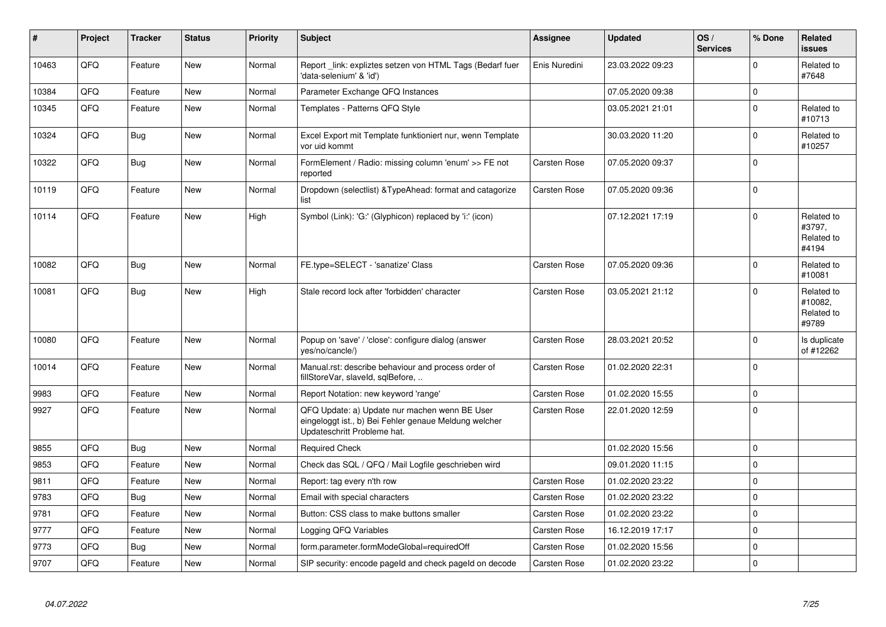| #     | Project | <b>Tracker</b> | <b>Status</b> | <b>Priority</b> | <b>Subject</b>                                                                                                                        | Assignee            | <b>Updated</b>   | OS/<br><b>Services</b> | % Done      | <b>Related</b><br><b>issues</b>              |
|-------|---------|----------------|---------------|-----------------|---------------------------------------------------------------------------------------------------------------------------------------|---------------------|------------------|------------------------|-------------|----------------------------------------------|
| 10463 | QFQ     | Feature        | <b>New</b>    | Normal          | Report _link: expliztes setzen von HTML Tags (Bedarf fuer<br>'data-selenium' & 'id')                                                  | Enis Nuredini       | 23.03.2022 09:23 |                        | $\Omega$    | Related to<br>#7648                          |
| 10384 | QFQ     | Feature        | <b>New</b>    | Normal          | Parameter Exchange QFQ Instances                                                                                                      |                     | 07.05.2020 09:38 |                        | 0           |                                              |
| 10345 | QFQ     | Feature        | <b>New</b>    | Normal          | Templates - Patterns QFQ Style                                                                                                        |                     | 03.05.2021 21:01 |                        | $\Omega$    | Related to<br>#10713                         |
| 10324 | QFQ     | Bug            | <b>New</b>    | Normal          | Excel Export mit Template funktioniert nur, wenn Template<br>vor uid kommt                                                            |                     | 30.03.2020 11:20 |                        | $\mathbf 0$ | Related to<br>#10257                         |
| 10322 | QFQ     | Bug            | <b>New</b>    | Normal          | FormElement / Radio: missing column 'enum' >> FE not<br>reported                                                                      | <b>Carsten Rose</b> | 07.05.2020 09:37 |                        | $\mathbf 0$ |                                              |
| 10119 | QFQ     | Feature        | New           | Normal          | Dropdown (selectlist) & Type Ahead: format and catagorize<br>list                                                                     | Carsten Rose        | 07.05.2020 09:36 |                        | $\mathbf 0$ |                                              |
| 10114 | QFQ     | Feature        | New           | High            | Symbol (Link): 'G:' (Glyphicon) replaced by 'i:' (icon)                                                                               |                     | 07.12.2021 17:19 |                        | $\mathbf 0$ | Related to<br>#3797,<br>Related to<br>#4194  |
| 10082 | QFQ     | <b>Bug</b>     | <b>New</b>    | Normal          | FE.type=SELECT - 'sanatize' Class                                                                                                     | Carsten Rose        | 07.05.2020 09:36 |                        | $\Omega$    | Related to<br>#10081                         |
| 10081 | QFQ     | Bug            | <b>New</b>    | High            | Stale record lock after 'forbidden' character                                                                                         | Carsten Rose        | 03.05.2021 21:12 |                        | $\Omega$    | Related to<br>#10082,<br>Related to<br>#9789 |
| 10080 | QFQ     | Feature        | New           | Normal          | Popup on 'save' / 'close': configure dialog (answer<br>yes/no/cancle/)                                                                | Carsten Rose        | 28.03.2021 20:52 |                        | $\mathbf 0$ | Is duplicate<br>of #12262                    |
| 10014 | QFQ     | Feature        | New           | Normal          | Manual.rst: describe behaviour and process order of<br>fillStoreVar, slaveId, sqlBefore,                                              | Carsten Rose        | 01.02.2020 22:31 |                        | 0           |                                              |
| 9983  | QFQ     | Feature        | New           | Normal          | Report Notation: new keyword 'range'                                                                                                  | Carsten Rose        | 01.02.2020 15:55 |                        | 0           |                                              |
| 9927  | QFQ     | Feature        | New           | Normal          | QFQ Update: a) Update nur machen wenn BE User<br>eingeloggt ist., b) Bei Fehler genaue Meldung welcher<br>Updateschritt Probleme hat. | Carsten Rose        | 22.01.2020 12:59 |                        | $\mathbf 0$ |                                              |
| 9855  | QFQ     | <b>Bug</b>     | <b>New</b>    | Normal          | <b>Required Check</b>                                                                                                                 |                     | 01.02.2020 15:56 |                        | $\mathbf 0$ |                                              |
| 9853  | QFQ     | Feature        | <b>New</b>    | Normal          | Check das SQL / QFQ / Mail Logfile geschrieben wird                                                                                   |                     | 09.01.2020 11:15 |                        | $\mathbf 0$ |                                              |
| 9811  | QFQ     | Feature        | New           | Normal          | Report: tag every n'th row                                                                                                            | <b>Carsten Rose</b> | 01.02.2020 23:22 |                        | $\Omega$    |                                              |
| 9783  | QFQ     | Bug            | New           | Normal          | Email with special characters                                                                                                         | <b>Carsten Rose</b> | 01.02.2020 23:22 |                        | 0           |                                              |
| 9781  | QFQ     | Feature        | <b>New</b>    | Normal          | Button: CSS class to make buttons smaller                                                                                             | <b>Carsten Rose</b> | 01.02.2020 23:22 |                        | $\Omega$    |                                              |
| 9777  | QFQ     | Feature        | New           | Normal          | Logging QFQ Variables                                                                                                                 | Carsten Rose        | 16.12.2019 17:17 |                        | 0           |                                              |
| 9773  | QFQ     | <b>Bug</b>     | New           | Normal          | form.parameter.formModeGlobal=requiredOff                                                                                             | <b>Carsten Rose</b> | 01.02.2020 15:56 |                        | $\mathbf 0$ |                                              |
| 9707  | QFQ     | Feature        | <b>New</b>    | Normal          | SIP security: encode pageld and check pageld on decode                                                                                | <b>Carsten Rose</b> | 01.02.2020 23:22 |                        | $\Omega$    |                                              |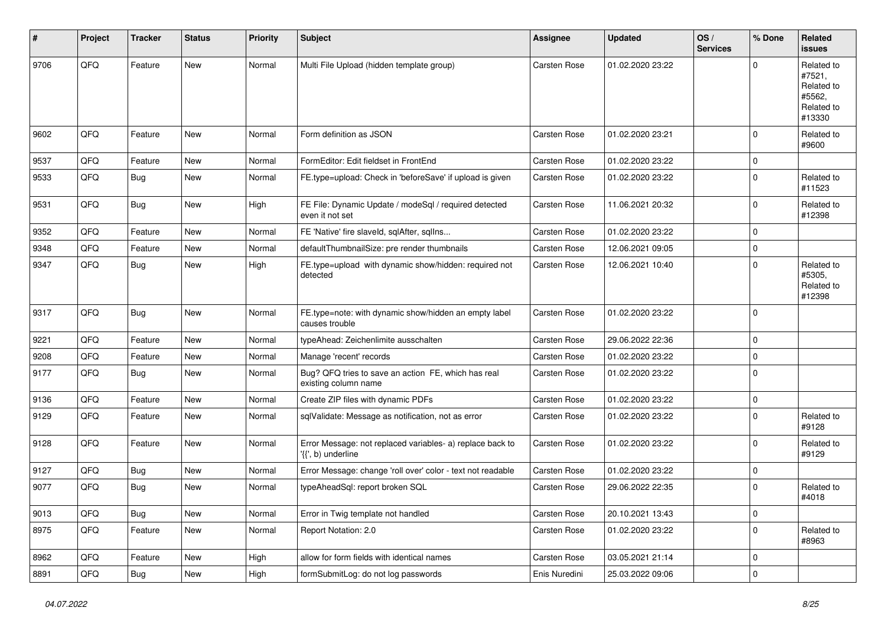| #    | Project | <b>Tracker</b> | <b>Status</b> | <b>Priority</b> | <b>Subject</b>                                                                  | Assignee            | <b>Updated</b>   | OS/<br><b>Services</b> | % Done      | <b>Related</b><br>issues                                             |
|------|---------|----------------|---------------|-----------------|---------------------------------------------------------------------------------|---------------------|------------------|------------------------|-------------|----------------------------------------------------------------------|
| 9706 | QFQ     | Feature        | New           | Normal          | Multi File Upload (hidden template group)                                       | <b>Carsten Rose</b> | 01.02.2020 23:22 |                        | 0           | Related to<br>#7521.<br>Related to<br>#5562,<br>Related to<br>#13330 |
| 9602 | QFQ     | Feature        | New           | Normal          | Form definition as JSON                                                         | Carsten Rose        | 01.02.2020 23:21 |                        | $\mathbf 0$ | Related to<br>#9600                                                  |
| 9537 | QFQ     | Feature        | <b>New</b>    | Normal          | FormEditor: Edit fieldset in FrontEnd                                           | Carsten Rose        | 01.02.2020 23:22 |                        | 0           |                                                                      |
| 9533 | QFQ     | <b>Bug</b>     | New           | Normal          | FE.type=upload: Check in 'beforeSave' if upload is given                        | <b>Carsten Rose</b> | 01.02.2020 23:22 |                        | $\mathbf 0$ | Related to<br>#11523                                                 |
| 9531 | QFQ     | <b>Bug</b>     | <b>New</b>    | High            | FE File: Dynamic Update / modeSql / required detected<br>even it not set        | Carsten Rose        | 11.06.2021 20:32 |                        | $\mathbf 0$ | Related to<br>#12398                                                 |
| 9352 | QFQ     | Feature        | <b>New</b>    | Normal          | FE 'Native' fire slaveld, sqlAfter, sqlIns                                      | <b>Carsten Rose</b> | 01.02.2020 23:22 |                        | 0           |                                                                      |
| 9348 | QFQ     | Feature        | New           | Normal          | defaultThumbnailSize: pre render thumbnails                                     | <b>Carsten Rose</b> | 12.06.2021 09:05 |                        | 0           |                                                                      |
| 9347 | QFQ     | Bug            | New           | High            | FE.type=upload with dynamic show/hidden: required not<br>detected               | Carsten Rose        | 12.06.2021 10:40 |                        | $\mathbf 0$ | Related to<br>#5305,<br>Related to<br>#12398                         |
| 9317 | QFQ     | <b>Bug</b>     | <b>New</b>    | Normal          | FE.type=note: with dynamic show/hidden an empty label<br>causes trouble         | <b>Carsten Rose</b> | 01.02.2020 23:22 |                        | $\Omega$    |                                                                      |
| 9221 | QFQ     | Feature        | New           | Normal          | typeAhead: Zeichenlimite ausschalten                                            | <b>Carsten Rose</b> | 29.06.2022 22:36 |                        | 0           |                                                                      |
| 9208 | QFQ     | Feature        | <b>New</b>    | Normal          | Manage 'recent' records                                                         | <b>Carsten Rose</b> | 01.02.2020 23:22 |                        | 0           |                                                                      |
| 9177 | QFQ     | <b>Bug</b>     | <b>New</b>    | Normal          | Bug? QFQ tries to save an action FE, which has real<br>existing column name     | <b>Carsten Rose</b> | 01.02.2020 23:22 |                        | $\mathbf 0$ |                                                                      |
| 9136 | QFQ     | Feature        | New           | Normal          | Create ZIP files with dynamic PDFs                                              | <b>Carsten Rose</b> | 01.02.2020 23:22 |                        | 0           |                                                                      |
| 9129 | QFQ     | Feature        | New           | Normal          | sqlValidate: Message as notification, not as error                              | Carsten Rose        | 01.02.2020 23:22 |                        | 0           | Related to<br>#9128                                                  |
| 9128 | QFQ     | Feature        | New           | Normal          | Error Message: not replaced variables- a) replace back to<br>'{{', b) underline | <b>Carsten Rose</b> | 01.02.2020 23:22 |                        | $\mathbf 0$ | Related to<br>#9129                                                  |
| 9127 | QFQ     | <b>Bug</b>     | <b>New</b>    | Normal          | Error Message: change 'roll over' color - text not readable                     | <b>Carsten Rose</b> | 01.02.2020 23:22 |                        | 0           |                                                                      |
| 9077 | QFQ     | <b>Bug</b>     | <b>New</b>    | Normal          | typeAheadSql: report broken SQL                                                 | <b>Carsten Rose</b> | 29.06.2022 22:35 |                        | 0           | Related to<br>#4018                                                  |
| 9013 | QFO     | <b>Bug</b>     | New           | Normal          | Error in Twig template not handled                                              | Carsten Rose        | 20.10.2021 13:43 |                        | 0           |                                                                      |
| 8975 | QFQ     | Feature        | New           | Normal          | Report Notation: 2.0                                                            | Carsten Rose        | 01.02.2020 23:22 |                        | 0           | Related to<br>#8963                                                  |
| 8962 | QFQ     | Feature        | New           | High            | allow for form fields with identical names                                      | Carsten Rose        | 03.05.2021 21:14 |                        | 0           |                                                                      |
| 8891 | QFQ     | Bug            | New           | High            | formSubmitLog: do not log passwords                                             | Enis Nuredini       | 25.03.2022 09:06 |                        | 0           |                                                                      |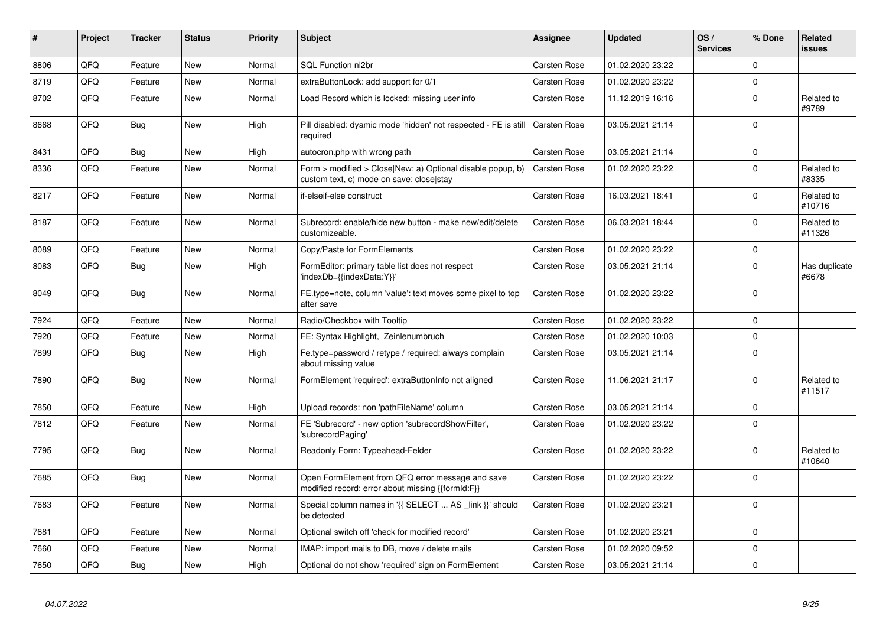| #    | Project | <b>Tracker</b> | <b>Status</b> | <b>Priority</b> | <b>Subject</b>                                                                                         | Assignee            | <b>Updated</b>   | OS/<br><b>Services</b> | % Done       | Related<br>issues      |
|------|---------|----------------|---------------|-----------------|--------------------------------------------------------------------------------------------------------|---------------------|------------------|------------------------|--------------|------------------------|
| 8806 | QFQ     | Feature        | <b>New</b>    | Normal          | SQL Function nl2br                                                                                     | Carsten Rose        | 01.02.2020 23:22 |                        | $\mathbf 0$  |                        |
| 8719 | QFQ     | Feature        | New           | Normal          | extraButtonLock: add support for 0/1                                                                   | Carsten Rose        | 01.02.2020 23:22 |                        | $\mathbf 0$  |                        |
| 8702 | QFQ     | Feature        | New           | Normal          | Load Record which is locked: missing user info                                                         | <b>Carsten Rose</b> | 11.12.2019 16:16 |                        | $\pmb{0}$    | Related to<br>#9789    |
| 8668 | QFG     | Bug            | <b>New</b>    | High            | Pill disabled: dyamic mode 'hidden' not respected - FE is still<br>required                            | <b>Carsten Rose</b> | 03.05.2021 21:14 |                        | $\mathbf{0}$ |                        |
| 8431 | QFQ     | Bug            | <b>New</b>    | High            | autocron.php with wrong path                                                                           | Carsten Rose        | 03.05.2021 21:14 |                        | $\pmb{0}$    |                        |
| 8336 | QFQ     | Feature        | New           | Normal          | Form > modified > Close New: a) Optional disable popup, b)<br>custom text, c) mode on save: closelstay | Carsten Rose        | 01.02.2020 23:22 |                        | $\pmb{0}$    | Related to<br>#8335    |
| 8217 | QFQ     | Feature        | <b>New</b>    | Normal          | if-elseif-else construct                                                                               | <b>Carsten Rose</b> | 16.03.2021 18:41 |                        | $\pmb{0}$    | Related to<br>#10716   |
| 8187 | QFQ     | Feature        | New           | Normal          | Subrecord: enable/hide new button - make new/edit/delete<br>customizeable.                             | Carsten Rose        | 06.03.2021 18:44 |                        | $\mathbf 0$  | Related to<br>#11326   |
| 8089 | QFQ     | Feature        | <b>New</b>    | Normal          | Copy/Paste for FormElements                                                                            | Carsten Rose        | 01.02.2020 23:22 |                        | $\mathbf 0$  |                        |
| 8083 | QFQ     | <b>Bug</b>     | <b>New</b>    | High            | FormEditor: primary table list does not respect<br>'indexDb={{indexData:Y}}'                           | Carsten Rose        | 03.05.2021 21:14 |                        | $\mathbf 0$  | Has duplicate<br>#6678 |
| 8049 | QFQ     | <b>Bug</b>     | <b>New</b>    | Normal          | FE.type=note, column 'value': text moves some pixel to top<br>after save                               | Carsten Rose        | 01.02.2020 23:22 |                        | $\Omega$     |                        |
| 7924 | QFQ     | Feature        | New           | Normal          | Radio/Checkbox with Tooltip                                                                            | Carsten Rose        | 01.02.2020 23:22 |                        | $\mathbf 0$  |                        |
| 7920 | QFQ     | Feature        | New           | Normal          | FE: Syntax Highlight, Zeinlenumbruch                                                                   | <b>Carsten Rose</b> | 01.02.2020 10:03 |                        | $\mathbf 0$  |                        |
| 7899 | QFQ     | <b>Bug</b>     | <b>New</b>    | High            | Fe.type=password / retype / required: always complain<br>about missing value                           | Carsten Rose        | 03.05.2021 21:14 |                        | $\mathbf 0$  |                        |
| 7890 | QFQ     | Bug            | New           | Normal          | FormElement 'required': extraButtonInfo not aligned                                                    | Carsten Rose        | 11.06.2021 21:17 |                        | $\Omega$     | Related to<br>#11517   |
| 7850 | QFQ     | Feature        | New           | High            | Upload records: non 'pathFileName' column                                                              | Carsten Rose        | 03.05.2021 21:14 |                        | $\pmb{0}$    |                        |
| 7812 | QFQ     | Feature        | New           | Normal          | FE 'Subrecord' - new option 'subrecordShowFilter',<br>'subrecordPaging'                                | Carsten Rose        | 01.02.2020 23:22 |                        | $\Omega$     |                        |
| 7795 | QFQ     | Bug            | <b>New</b>    | Normal          | Readonly Form: Typeahead-Felder                                                                        | Carsten Rose        | 01.02.2020 23:22 |                        | $\mathbf 0$  | Related to<br>#10640   |
| 7685 | QFQ     | Bug            | <b>New</b>    | Normal          | Open FormElement from QFQ error message and save<br>modified record: error about missing {{formId:F}}  | Carsten Rose        | 01.02.2020 23:22 |                        | $\mathbf 0$  |                        |
| 7683 | QFQ     | Feature        | <b>New</b>    | Normal          | Special column names in '{{ SELECT  AS _link }}' should<br>be detected                                 | Carsten Rose        | 01.02.2020 23:21 |                        | $\Omega$     |                        |
| 7681 | QFQ     | Feature        | <b>New</b>    | Normal          | Optional switch off 'check for modified record'                                                        | Carsten Rose        | 01.02.2020 23:21 |                        | $\mathbf 0$  |                        |
| 7660 | QFQ     | Feature        | <b>New</b>    | Normal          | IMAP: import mails to DB, move / delete mails                                                          | <b>Carsten Rose</b> | 01.02.2020 09:52 |                        | $\mathbf 0$  |                        |
| 7650 | QFQ     | <b>Bug</b>     | <b>New</b>    | High            | Optional do not show 'required' sign on FormElement                                                    | <b>Carsten Rose</b> | 03.05.2021 21:14 |                        | $\pmb{0}$    |                        |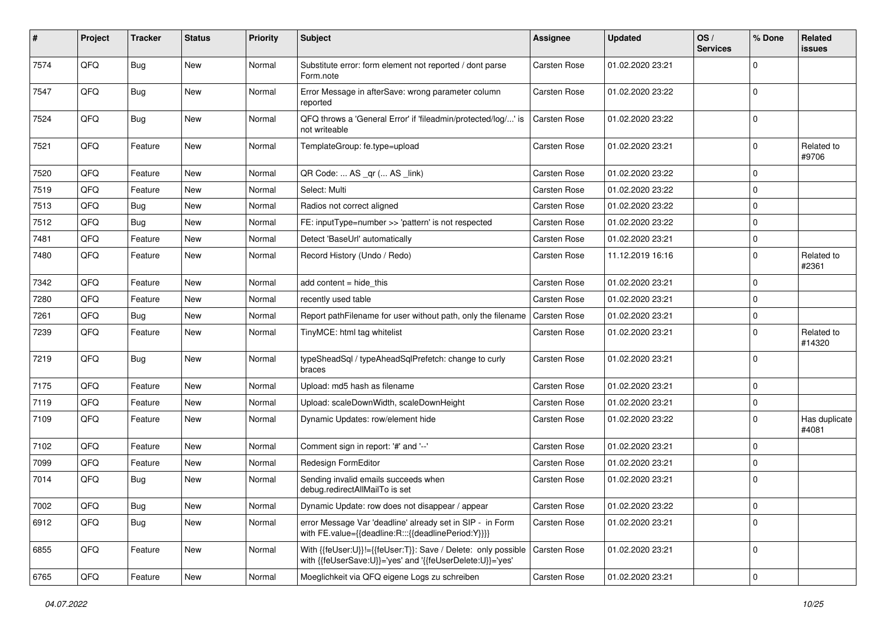| $\sharp$ | Project | <b>Tracker</b> | <b>Status</b> | <b>Priority</b> | <b>Subject</b>                                                                                                             | <b>Assignee</b> | <b>Updated</b>   | OS/<br><b>Services</b> | % Done      | Related<br>issues      |
|----------|---------|----------------|---------------|-----------------|----------------------------------------------------------------------------------------------------------------------------|-----------------|------------------|------------------------|-------------|------------------------|
| 7574     | QFQ     | <b>Bug</b>     | New           | Normal          | Substitute error: form element not reported / dont parse<br>Form.note                                                      | Carsten Rose    | 01.02.2020 23:21 |                        | $\Omega$    |                        |
| 7547     | QFQ     | <b>Bug</b>     | New           | Normal          | Error Message in afterSave: wrong parameter column<br>reported                                                             | Carsten Rose    | 01.02.2020 23:22 |                        | $\mathbf 0$ |                        |
| 7524     | QFQ     | <b>Bug</b>     | New           | Normal          | QFQ throws a 'General Error' if 'fileadmin/protected/log/' is<br>not writeable                                             | Carsten Rose    | 01.02.2020 23:22 |                        | $\Omega$    |                        |
| 7521     | QFQ     | Feature        | New           | Normal          | TemplateGroup: fe.type=upload                                                                                              | Carsten Rose    | 01.02.2020 23:21 |                        | $\Omega$    | Related to<br>#9706    |
| 7520     | QFQ     | Feature        | New           | Normal          | QR Code:  AS _qr ( AS _link)                                                                                               | Carsten Rose    | 01.02.2020 23:22 |                        | $\Omega$    |                        |
| 7519     | QFQ     | Feature        | New           | Normal          | Select: Multi                                                                                                              | Carsten Rose    | 01.02.2020 23:22 |                        | $\Omega$    |                        |
| 7513     | QFQ     | <b>Bug</b>     | <b>New</b>    | Normal          | Radios not correct aligned                                                                                                 | Carsten Rose    | 01.02.2020 23:22 |                        | $\Omega$    |                        |
| 7512     | QFQ     | <b>Bug</b>     | New           | Normal          | FE: inputType=number >> 'pattern' is not respected                                                                         | Carsten Rose    | 01.02.2020 23:22 |                        | $\Omega$    |                        |
| 7481     | QFQ     | Feature        | New           | Normal          | Detect 'BaseUrl' automatically                                                                                             | Carsten Rose    | 01.02.2020 23:21 |                        | $\Omega$    |                        |
| 7480     | QFQ     | Feature        | <b>New</b>    | Normal          | Record History (Undo / Redo)                                                                                               | Carsten Rose    | 11.12.2019 16:16 |                        | $\Omega$    | Related to<br>#2361    |
| 7342     | QFQ     | Feature        | <b>New</b>    | Normal          | add content = hide_this                                                                                                    | Carsten Rose    | 01.02.2020 23:21 |                        | $\Omega$    |                        |
| 7280     | QFQ     | Feature        | <b>New</b>    | Normal          | recently used table                                                                                                        | Carsten Rose    | 01.02.2020 23:21 |                        | $\Omega$    |                        |
| 7261     | QFQ     | <b>Bug</b>     | New           | Normal          | Report pathFilename for user without path, only the filename                                                               | Carsten Rose    | 01.02.2020 23:21 |                        | $\mathbf 0$ |                        |
| 7239     | QFQ     | Feature        | New           | Normal          | TinyMCE: html tag whitelist                                                                                                | Carsten Rose    | 01.02.2020 23:21 |                        | $\Omega$    | Related to<br>#14320   |
| 7219     | QFG     | Bug            | New           | Normal          | typeSheadSql / typeAheadSqlPrefetch: change to curly<br>braces                                                             | Carsten Rose    | 01.02.2020 23:21 |                        | $\Omega$    |                        |
| 7175     | QFQ     | Feature        | New           | Normal          | Upload: md5 hash as filename                                                                                               | Carsten Rose    | 01.02.2020 23:21 |                        | $\mathbf 0$ |                        |
| 7119     | QFQ     | Feature        | <b>New</b>    | Normal          | Upload: scaleDownWidth, scaleDownHeight                                                                                    | Carsten Rose    | 01.02.2020 23:21 |                        | $\Omega$    |                        |
| 7109     | QFQ     | Feature        | New           | Normal          | Dynamic Updates: row/element hide                                                                                          | Carsten Rose    | 01.02.2020 23:22 |                        | $\Omega$    | Has duplicate<br>#4081 |
| 7102     | QFQ     | Feature        | <b>New</b>    | Normal          | Comment sign in report: '#' and '--'                                                                                       | Carsten Rose    | 01.02.2020 23:21 |                        | $\Omega$    |                        |
| 7099     | QFQ     | Feature        | <b>New</b>    | Normal          | Redesign FormEditor                                                                                                        | Carsten Rose    | 01.02.2020 23:21 |                        | $\Omega$    |                        |
| 7014     | QFQ     | <b>Bug</b>     | New           | Normal          | Sending invalid emails succeeds when<br>debug.redirectAllMailTo is set                                                     | Carsten Rose    | 01.02.2020 23:21 |                        | $\Omega$    |                        |
| 7002     | QFQ     | Bug            | New           | Normal          | Dynamic Update: row does not disappear / appear                                                                            | Carsten Rose    | 01.02.2020 23:22 |                        | 0           |                        |
| 6912     | QFQ     | <b>Bug</b>     | New           | Normal          | error Message Var 'deadline' already set in SIP - in Form<br>with FE.value={{deadline:R:::{{deadlinePeriod:Y}}}}           | Carsten Rose    | 01.02.2020 23:21 |                        | $\Omega$    |                        |
| 6855     | QFQ     | Feature        | New           | Normal          | With {{feUser:U}}!={{feUser:T}}: Save / Delete: only possible<br>with {{feUserSave:U}}='yes' and '{{feUserDelete:U}}='yes' | Carsten Rose    | 01.02.2020 23:21 |                        | 0           |                        |
| 6765     | QFQ     | Feature        | New           | Normal          | Moeglichkeit via QFQ eigene Logs zu schreiben                                                                              | Carsten Rose    | 01.02.2020 23:21 |                        | $\pmb{0}$   |                        |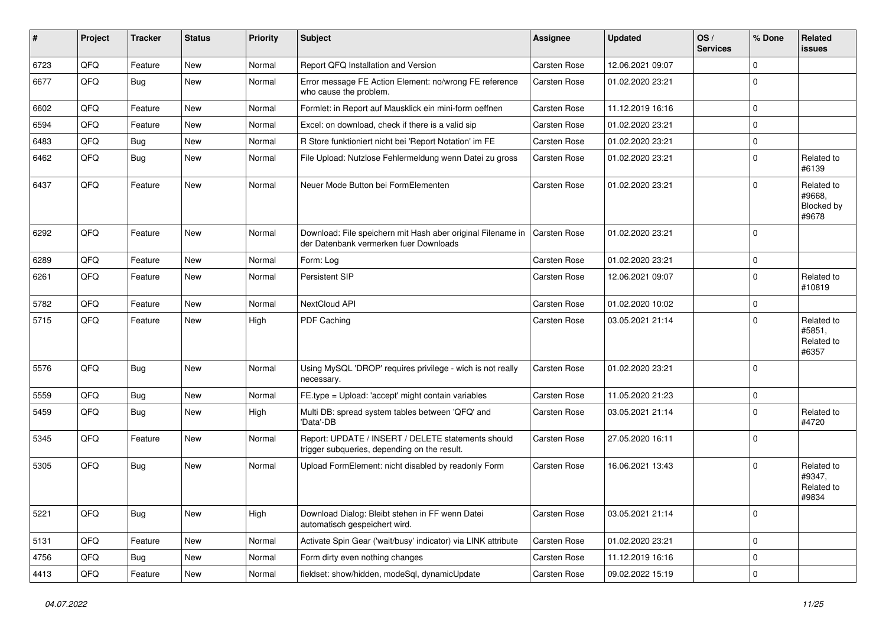| ∦    | Project | <b>Tracker</b> | <b>Status</b> | <b>Priority</b> | Subject                                                                                               | Assignee            | <b>Updated</b>   | OS/<br><b>Services</b> | % Done      | <b>Related</b><br>issues                    |
|------|---------|----------------|---------------|-----------------|-------------------------------------------------------------------------------------------------------|---------------------|------------------|------------------------|-------------|---------------------------------------------|
| 6723 | QFQ     | Feature        | New           | Normal          | Report QFQ Installation and Version                                                                   | Carsten Rose        | 12.06.2021 09:07 |                        | 0           |                                             |
| 6677 | QFQ     | <b>Bug</b>     | <b>New</b>    | Normal          | Error message FE Action Element: no/wrong FE reference<br>who cause the problem.                      | <b>Carsten Rose</b> | 01.02.2020 23:21 |                        | $\mathbf 0$ |                                             |
| 6602 | QFQ     | Feature        | <b>New</b>    | Normal          | Formlet: in Report auf Mausklick ein mini-form oeffnen                                                | <b>Carsten Rose</b> | 11.12.2019 16:16 |                        | 0           |                                             |
| 6594 | QFQ     | Feature        | New           | Normal          | Excel: on download, check if there is a valid sip                                                     | Carsten Rose        | 01.02.2020 23:21 |                        | 0           |                                             |
| 6483 | QFQ     | <b>Bug</b>     | <b>New</b>    | Normal          | R Store funktioniert nicht bei 'Report Notation' im FE                                                | <b>Carsten Rose</b> | 01.02.2020 23:21 |                        | 0           |                                             |
| 6462 | QFQ     | Bug            | <b>New</b>    | Normal          | File Upload: Nutzlose Fehlermeldung wenn Datei zu gross                                               | <b>Carsten Rose</b> | 01.02.2020 23:21 |                        | $\mathbf 0$ | Related to<br>#6139                         |
| 6437 | QFQ     | Feature        | <b>New</b>    | Normal          | Neuer Mode Button bei FormElementen                                                                   | Carsten Rose        | 01.02.2020 23:21 |                        | 0           | Related to<br>#9668,<br>Blocked by<br>#9678 |
| 6292 | QFQ     | Feature        | <b>New</b>    | Normal          | Download: File speichern mit Hash aber original Filename in<br>der Datenbank vermerken fuer Downloads | Carsten Rose        | 01.02.2020 23:21 |                        | $\Omega$    |                                             |
| 6289 | QFQ     | Feature        | <b>New</b>    | Normal          | Form: Log                                                                                             | <b>Carsten Rose</b> | 01.02.2020 23:21 |                        | $\mathbf 0$ |                                             |
| 6261 | QFQ     | Feature        | New           | Normal          | Persistent SIP                                                                                        | Carsten Rose        | 12.06.2021 09:07 |                        | 0           | Related to<br>#10819                        |
| 5782 | QFQ     | Feature        | New           | Normal          | NextCloud API                                                                                         | <b>Carsten Rose</b> | 01.02.2020 10:02 |                        | $\mathbf 0$ |                                             |
| 5715 | QFQ     | Feature        | <b>New</b>    | High            | PDF Caching                                                                                           | <b>Carsten Rose</b> | 03.05.2021 21:14 |                        | 0           | Related to<br>#5851.<br>Related to<br>#6357 |
| 5576 | QFQ     | <b>Bug</b>     | <b>New</b>    | Normal          | Using MySQL 'DROP' requires privilege - wich is not really<br>necessary.                              | <b>Carsten Rose</b> | 01.02.2020 23:21 |                        | $\mathbf 0$ |                                             |
| 5559 | QFQ     | <b>Bug</b>     | <b>New</b>    | Normal          | FE.type = Upload: 'accept' might contain variables                                                    | <b>Carsten Rose</b> | 11.05.2020 21:23 |                        | 0           |                                             |
| 5459 | QFQ     | Bug            | New           | High            | Multi DB: spread system tables between 'QFQ' and<br>'Data'-DB                                         | Carsten Rose        | 03.05.2021 21:14 |                        | 0           | Related to<br>#4720                         |
| 5345 | QFQ     | Feature        | <b>New</b>    | Normal          | Report: UPDATE / INSERT / DELETE statements should<br>trigger subqueries, depending on the result.    | <b>Carsten Rose</b> | 27.05.2020 16:11 |                        | 0           |                                             |
| 5305 | QFQ     | Bug            | <b>New</b>    | Normal          | Upload FormElement: nicht disabled by readonly Form                                                   | <b>Carsten Rose</b> | 16.06.2021 13:43 |                        | 0           | Related to<br>#9347,<br>Related to<br>#9834 |
| 5221 | QFQ     | <b>Bug</b>     | New           | High            | Download Dialog: Bleibt stehen in FF wenn Datei<br>automatisch gespeichert wird.                      | Carsten Rose        | 03.05.2021 21:14 |                        | 0           |                                             |
| 5131 | QFQ     | Feature        | New           | Normal          | Activate Spin Gear ('wait/busy' indicator) via LINK attribute                                         | Carsten Rose        | 01.02.2020 23:21 |                        | 0           |                                             |
| 4756 | QFQ     | Bug            | New           | Normal          | Form dirty even nothing changes                                                                       | Carsten Rose        | 11.12.2019 16:16 |                        | 0           |                                             |
| 4413 | QFQ     | Feature        | New           | Normal          | fieldset: show/hidden, modeSql, dynamicUpdate                                                         | Carsten Rose        | 09.02.2022 15:19 |                        | 0           |                                             |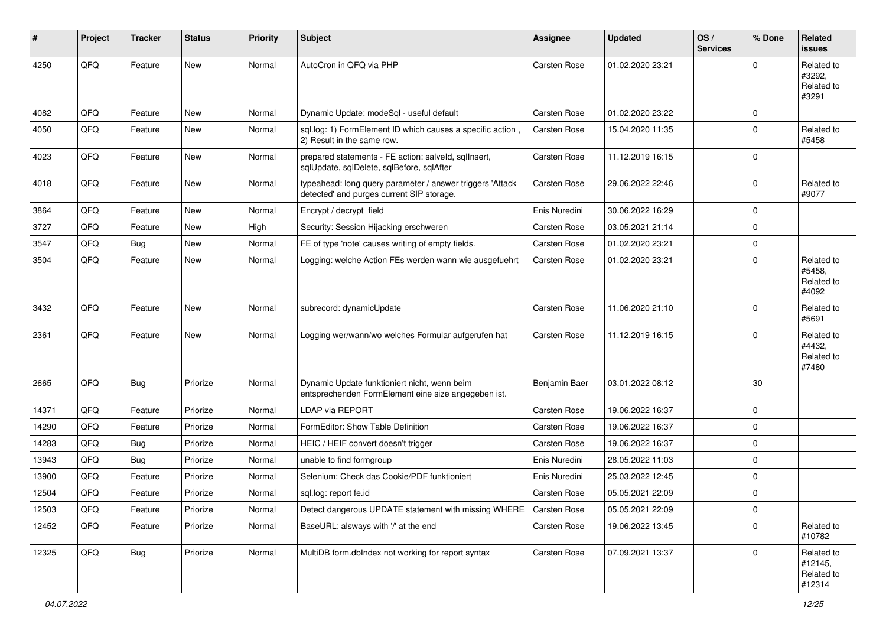| #     | Project | <b>Tracker</b> | <b>Status</b> | <b>Priority</b> | <b>Subject</b>                                                                                         | <b>Assignee</b>     | <b>Updated</b>   | OS/<br><b>Services</b> | % Done      | <b>Related</b><br>issues                      |
|-------|---------|----------------|---------------|-----------------|--------------------------------------------------------------------------------------------------------|---------------------|------------------|------------------------|-------------|-----------------------------------------------|
| 4250  | QFQ     | Feature        | New           | Normal          | AutoCron in QFQ via PHP                                                                                | Carsten Rose        | 01.02.2020 23:21 |                        | 0           | Related to<br>#3292.<br>Related to<br>#3291   |
| 4082  | QFQ     | Feature        | New           | Normal          | Dynamic Update: modeSql - useful default                                                               | <b>Carsten Rose</b> | 01.02.2020 23:22 |                        | 0           |                                               |
| 4050  | QFQ     | Feature        | New           | Normal          | sql.log: 1) FormElement ID which causes a specific action,<br>2) Result in the same row.               | <b>Carsten Rose</b> | 15.04.2020 11:35 |                        | $\Omega$    | Related to<br>#5458                           |
| 4023  | QFQ     | Feature        | <b>New</b>    | Normal          | prepared statements - FE action: salveld, sqllnsert,<br>sqlUpdate, sqlDelete, sqlBefore, sqlAfter      | Carsten Rose        | 11.12.2019 16:15 |                        | 0           |                                               |
| 4018  | QFQ     | Feature        | New           | Normal          | typeahead: long query parameter / answer triggers 'Attack<br>detected' and purges current SIP storage. | Carsten Rose        | 29.06.2022 22:46 |                        | $\mathbf 0$ | Related to<br>#9077                           |
| 3864  | QFQ     | Feature        | <b>New</b>    | Normal          | Encrypt / decrypt field                                                                                | Enis Nuredini       | 30.06.2022 16:29 |                        | 0           |                                               |
| 3727  | QFQ     | Feature        | <b>New</b>    | High            | Security: Session Hijacking erschweren                                                                 | Carsten Rose        | 03.05.2021 21:14 |                        | 0           |                                               |
| 3547  | QFQ     | Bug            | <b>New</b>    | Normal          | FE of type 'note' causes writing of empty fields.                                                      | Carsten Rose        | 01.02.2020 23:21 |                        | $\mathbf 0$ |                                               |
| 3504  | QFQ     | Feature        | New           | Normal          | Logging: welche Action FEs werden wann wie ausgefuehrt                                                 | Carsten Rose        | 01.02.2020 23:21 |                        | 0           | Related to<br>#5458.<br>Related to<br>#4092   |
| 3432  | QFQ     | Feature        | <b>New</b>    | Normal          | subrecord: dynamicUpdate                                                                               | Carsten Rose        | 11.06.2020 21:10 |                        | 0           | Related to<br>#5691                           |
| 2361  | QFQ     | Feature        | New           | Normal          | Logging wer/wann/wo welches Formular aufgerufen hat                                                    | <b>Carsten Rose</b> | 11.12.2019 16:15 |                        | $\Omega$    | Related to<br>#4432,<br>Related to<br>#7480   |
| 2665  | QFQ     | Bug            | Priorize      | Normal          | Dynamic Update funktioniert nicht, wenn beim<br>entsprechenden FormElement eine size angegeben ist.    | Benjamin Baer       | 03.01.2022 08:12 |                        | 30          |                                               |
| 14371 | QFQ     | Feature        | Priorize      | Normal          | LDAP via REPORT                                                                                        | Carsten Rose        | 19.06.2022 16:37 |                        | 0           |                                               |
| 14290 | QFQ     | Feature        | Priorize      | Normal          | FormEditor: Show Table Definition                                                                      | Carsten Rose        | 19.06.2022 16:37 |                        | $\Omega$    |                                               |
| 14283 | QFQ     | <b>Bug</b>     | Priorize      | Normal          | HEIC / HEIF convert doesn't trigger                                                                    | <b>Carsten Rose</b> | 19.06.2022 16:37 |                        | 0           |                                               |
| 13943 | QFQ     | Bug            | Priorize      | Normal          | unable to find formgroup                                                                               | Enis Nuredini       | 28.05.2022 11:03 |                        | 0           |                                               |
| 13900 | QFQ     | Feature        | Priorize      | Normal          | Selenium: Check das Cookie/PDF funktioniert                                                            | Enis Nuredini       | 25.03.2022 12:45 |                        | 0           |                                               |
| 12504 | QFQ     | Feature        | Priorize      | Normal          | sql.log: report fe.id                                                                                  | <b>Carsten Rose</b> | 05.05.2021 22:09 |                        | 0           |                                               |
| 12503 | QFO     | Feature        | Priorize      | Normal          | Detect dangerous UPDATE statement with missing WHERE                                                   | Carsten Rose        | 05.05.2021 22:09 |                        | 0           |                                               |
| 12452 | QFQ     | Feature        | Priorize      | Normal          | BaseURL: alsways with '/' at the end                                                                   | Carsten Rose        | 19.06.2022 13:45 |                        | 0           | Related to<br>#10782                          |
| 12325 | QFQ     | <b>Bug</b>     | Priorize      | Normal          | MultiDB form.dblndex not working for report syntax                                                     | Carsten Rose        | 07.09.2021 13:37 |                        | 0           | Related to<br>#12145,<br>Related to<br>#12314 |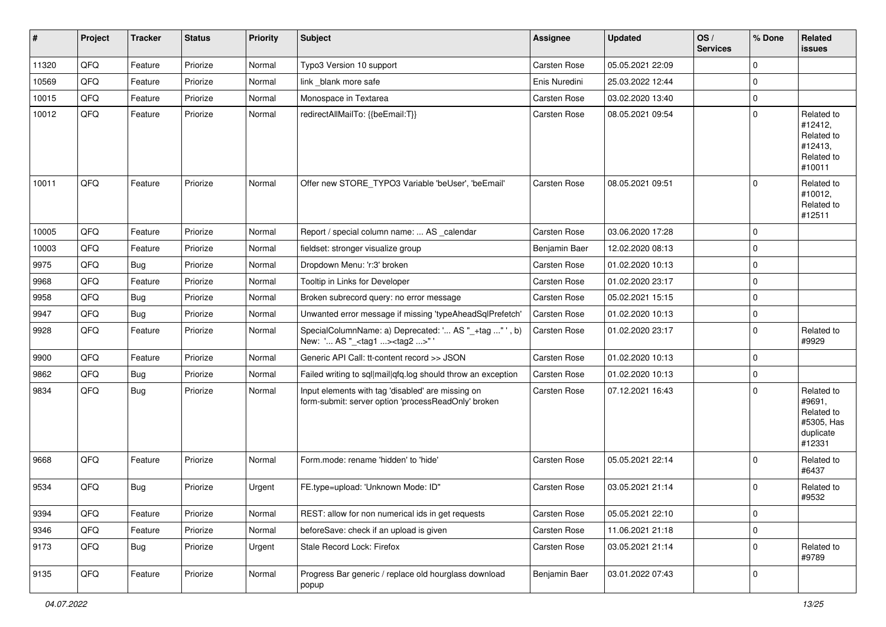| #     | Project | <b>Tracker</b> | <b>Status</b> | <b>Priority</b> | Subject                                                                                                  | <b>Assignee</b>     | <b>Updated</b>   | OS/<br><b>Services</b> | % Done       | Related<br><b>issues</b>                                                |
|-------|---------|----------------|---------------|-----------------|----------------------------------------------------------------------------------------------------------|---------------------|------------------|------------------------|--------------|-------------------------------------------------------------------------|
| 11320 | QFQ     | Feature        | Priorize      | Normal          | Typo3 Version 10 support                                                                                 | <b>Carsten Rose</b> | 05.05.2021 22:09 |                        | $\mathbf{0}$ |                                                                         |
| 10569 | QFQ     | Feature        | Priorize      | Normal          | link blank more safe                                                                                     | Enis Nuredini       | 25.03.2022 12:44 |                        | $\mathbf 0$  |                                                                         |
| 10015 | QFQ     | Feature        | Priorize      | Normal          | Monospace in Textarea                                                                                    | Carsten Rose        | 03.02.2020 13:40 |                        | $\mathbf 0$  |                                                                         |
| 10012 | QFQ     | Feature        | Priorize      | Normal          | redirectAllMailTo: {{beEmail:T}}                                                                         | Carsten Rose        | 08.05.2021 09:54 |                        | $\mathbf 0$  | Related to<br>#12412,<br>Related to<br>#12413,<br>Related to<br>#10011  |
| 10011 | QFQ     | Feature        | Priorize      | Normal          | Offer new STORE_TYPO3 Variable 'beUser', 'beEmail'                                                       | Carsten Rose        | 08.05.2021 09:51 |                        | $\mathbf 0$  | Related to<br>#10012,<br>Related to<br>#12511                           |
| 10005 | QFQ     | Feature        | Priorize      | Normal          | Report / special column name:  AS _calendar                                                              | <b>Carsten Rose</b> | 03.06.2020 17:28 |                        | 0            |                                                                         |
| 10003 | QFQ     | Feature        | Priorize      | Normal          | fieldset: stronger visualize group                                                                       | Benjamin Baer       | 12.02.2020 08:13 |                        | $\mathbf 0$  |                                                                         |
| 9975  | QFQ     | Bug            | Priorize      | Normal          | Dropdown Menu: 'r:3' broken                                                                              | Carsten Rose        | 01.02.2020 10:13 |                        | $\mathbf 0$  |                                                                         |
| 9968  | QFQ     | Feature        | Priorize      | Normal          | Tooltip in Links for Developer                                                                           | Carsten Rose        | 01.02.2020 23:17 |                        | $\mathbf 0$  |                                                                         |
| 9958  | QFQ     | Bug            | Priorize      | Normal          | Broken subrecord query: no error message                                                                 | Carsten Rose        | 05.02.2021 15:15 |                        | $\mathbf 0$  |                                                                         |
| 9947  | QFQ     | Bug            | Priorize      | Normal          | Unwanted error message if missing 'typeAheadSqlPrefetch'                                                 | Carsten Rose        | 01.02.2020 10:13 |                        | $\mathbf 0$  |                                                                         |
| 9928  | QFQ     | Feature        | Priorize      | Normal          | SpecialColumnName: a) Deprecated: ' AS "_+tag " ', b)<br>New: ' AS "_ <tag1><tag2>" '</tag2></tag1>      | Carsten Rose        | 01.02.2020 23:17 |                        | $\mathbf{0}$ | Related to<br>#9929                                                     |
| 9900  | QFQ     | Feature        | Priorize      | Normal          | Generic API Call: tt-content record >> JSON                                                              | Carsten Rose        | 01.02.2020 10:13 |                        | $\mathbf{0}$ |                                                                         |
| 9862  | QFQ     | <b>Bug</b>     | Priorize      | Normal          | Failed writing to sql mail qfq.log should throw an exception                                             | Carsten Rose        | 01.02.2020 10:13 |                        | $\mathbf 0$  |                                                                         |
| 9834  | QFQ     | Bug            | Priorize      | Normal          | Input elements with tag 'disabled' are missing on<br>form-submit: server option 'processReadOnly' broken | <b>Carsten Rose</b> | 07.12.2021 16:43 |                        | $\mathbf 0$  | Related to<br>#9691,<br>Related to<br>#5305, Has<br>duplicate<br>#12331 |
| 9668  | QFQ     | Feature        | Priorize      | Normal          | Form.mode: rename 'hidden' to 'hide'                                                                     | Carsten Rose        | 05.05.2021 22:14 |                        | $\mathbf{0}$ | Related to<br>#6437                                                     |
| 9534  | QFQ     | <b>Bug</b>     | Priorize      | Urgent          | FE.type=upload: 'Unknown Mode: ID"                                                                       | <b>Carsten Rose</b> | 03.05.2021 21:14 |                        | 0            | Related to<br>#9532                                                     |
| 9394  | QFQ     | Feature        | Priorize      | Normal          | REST: allow for non numerical ids in get requests                                                        | Carsten Rose        | 05.05.2021 22:10 |                        | $\mathbf 0$  |                                                                         |
| 9346  | QFQ     | Feature        | Priorize      | Normal          | beforeSave: check if an upload is given                                                                  | Carsten Rose        | 11.06.2021 21:18 |                        | $\mathbf 0$  |                                                                         |
| 9173  | QFQ     | <b>Bug</b>     | Priorize      | Urgent          | Stale Record Lock: Firefox                                                                               | Carsten Rose        | 03.05.2021 21:14 |                        | $\mathbf 0$  | Related to<br>#9789                                                     |
| 9135  | QFQ     | Feature        | Priorize      | Normal          | Progress Bar generic / replace old hourglass download<br>popup                                           | Benjamin Baer       | 03.01.2022 07:43 |                        | $\mathbf 0$  |                                                                         |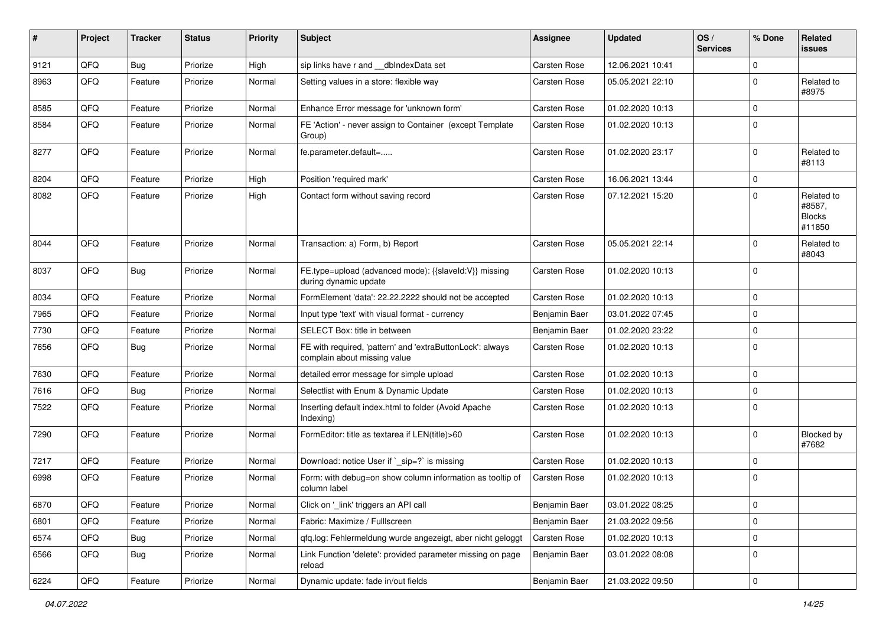| #    | Project | <b>Tracker</b> | <b>Status</b> | <b>Priority</b> | Subject                                                                                   | <b>Assignee</b>     | <b>Updated</b>   | OS/<br><b>Services</b> | % Done         | Related<br>issues                               |
|------|---------|----------------|---------------|-----------------|-------------------------------------------------------------------------------------------|---------------------|------------------|------------------------|----------------|-------------------------------------------------|
| 9121 | QFQ     | <b>Bug</b>     | Priorize      | High            | sip links have r and __dbIndexData set                                                    | Carsten Rose        | 12.06.2021 10:41 |                        | $\mathbf 0$    |                                                 |
| 8963 | QFQ     | Feature        | Priorize      | Normal          | Setting values in a store: flexible way                                                   | Carsten Rose        | 05.05.2021 22:10 |                        | $\mathbf 0$    | Related to<br>#8975                             |
| 8585 | QFQ     | Feature        | Priorize      | Normal          | Enhance Error message for 'unknown form'                                                  | Carsten Rose        | 01.02.2020 10:13 |                        | $\mathbf 0$    |                                                 |
| 8584 | QFQ     | Feature        | Priorize      | Normal          | FE 'Action' - never assign to Container (except Template<br>Group)                        | Carsten Rose        | 01.02.2020 10:13 |                        | $\mathbf 0$    |                                                 |
| 8277 | QFQ     | Feature        | Priorize      | Normal          | fe.parameter.default=                                                                     | Carsten Rose        | 01.02.2020 23:17 |                        | $\mathbf 0$    | Related to<br>#8113                             |
| 8204 | QFQ     | Feature        | Priorize      | High            | Position 'required mark'                                                                  | Carsten Rose        | 16.06.2021 13:44 |                        | 0              |                                                 |
| 8082 | QFQ     | Feature        | Priorize      | High            | Contact form without saving record                                                        | Carsten Rose        | 07.12.2021 15:20 |                        | $\mathbf 0$    | Related to<br>#8587,<br><b>Blocks</b><br>#11850 |
| 8044 | QFQ     | Feature        | Priorize      | Normal          | Transaction: a) Form, b) Report                                                           | Carsten Rose        | 05.05.2021 22:14 |                        | $\mathbf 0$    | Related to<br>#8043                             |
| 8037 | QFQ     | <b>Bug</b>     | Priorize      | Normal          | FE.type=upload (advanced mode): {{slaveld:V}} missing<br>during dynamic update            | Carsten Rose        | 01.02.2020 10:13 |                        | $\mathbf 0$    |                                                 |
| 8034 | QFQ     | Feature        | Priorize      | Normal          | FormElement 'data': 22.22.2222 should not be accepted                                     | Carsten Rose        | 01.02.2020 10:13 |                        | $\mathbf 0$    |                                                 |
| 7965 | QFQ     | Feature        | Priorize      | Normal          | Input type 'text' with visual format - currency                                           | Benjamin Baer       | 03.01.2022 07:45 |                        | $\mathbf 0$    |                                                 |
| 7730 | QFQ     | Feature        | Priorize      | Normal          | SELECT Box: title in between                                                              | Benjamin Baer       | 01.02.2020 23:22 |                        | $\mathbf 0$    |                                                 |
| 7656 | QFQ     | <b>Bug</b>     | Priorize      | Normal          | FE with required, 'pattern' and 'extraButtonLock': always<br>complain about missing value | Carsten Rose        | 01.02.2020 10:13 |                        | $\mathbf 0$    |                                                 |
| 7630 | QFQ     | Feature        | Priorize      | Normal          | detailed error message for simple upload                                                  | Carsten Rose        | 01.02.2020 10:13 |                        | $\mathbf 0$    |                                                 |
| 7616 | QFQ     | <b>Bug</b>     | Priorize      | Normal          | Selectlist with Enum & Dynamic Update                                                     | Carsten Rose        | 01.02.2020 10:13 |                        | $\mathbf 0$    |                                                 |
| 7522 | QFQ     | Feature        | Priorize      | Normal          | Inserting default index.html to folder (Avoid Apache<br>Indexing)                         | Carsten Rose        | 01.02.2020 10:13 |                        | $\mathbf 0$    |                                                 |
| 7290 | QFQ     | Feature        | Priorize      | Normal          | FormEditor: title as textarea if LEN(title)>60                                            | Carsten Rose        | 01.02.2020 10:13 |                        | $\mathbf 0$    | <b>Blocked by</b><br>#7682                      |
| 7217 | QFQ     | Feature        | Priorize      | Normal          | Download: notice User if `_sip=?` is missing                                              | <b>Carsten Rose</b> | 01.02.2020 10:13 |                        | 0              |                                                 |
| 6998 | QFQ     | Feature        | Priorize      | Normal          | Form: with debug=on show column information as tooltip of<br>column label                 | Carsten Rose        | 01.02.2020 10:13 |                        | $\mathbf 0$    |                                                 |
| 6870 | QFQ     | Feature        | Priorize      | Normal          | Click on '_link' triggers an API call                                                     | Benjamin Baer       | 03.01.2022 08:25 |                        | $\overline{0}$ |                                                 |
| 6801 | QFQ     | Feature        | Priorize      | Normal          | Fabric: Maximize / Fulllscreen                                                            | Benjamin Baer       | 21.03.2022 09:56 |                        | 0              |                                                 |
| 6574 | QFQ     | Bug            | Priorize      | Normal          | qfq.log: Fehlermeldung wurde angezeigt, aber nicht geloggt                                | Carsten Rose        | 01.02.2020 10:13 |                        | $\pmb{0}$      |                                                 |
| 6566 | QFQ     | <b>Bug</b>     | Priorize      | Normal          | Link Function 'delete': provided parameter missing on page<br>reload                      | Benjamin Baer       | 03.01.2022 08:08 |                        | $\mathbf 0$    |                                                 |
| 6224 | QFQ     | Feature        | Priorize      | Normal          | Dynamic update: fade in/out fields                                                        | Benjamin Baer       | 21.03.2022 09:50 |                        | $\,0\,$        |                                                 |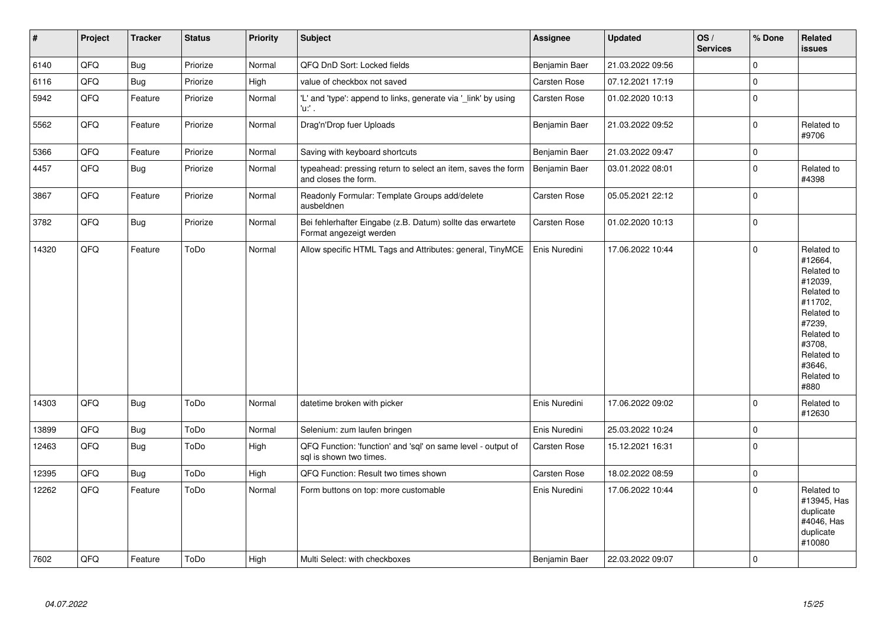| $\sharp$ | Project | <b>Tracker</b> | <b>Status</b> | Priority | <b>Subject</b>                                                                          | Assignee      | <b>Updated</b>   | OS/<br><b>Services</b> | % Done      | Related<br>issues                                                                                                                                                     |
|----------|---------|----------------|---------------|----------|-----------------------------------------------------------------------------------------|---------------|------------------|------------------------|-------------|-----------------------------------------------------------------------------------------------------------------------------------------------------------------------|
| 6140     | QFQ     | <b>Bug</b>     | Priorize      | Normal   | QFQ DnD Sort: Locked fields                                                             | Benjamin Baer | 21.03.2022 09:56 |                        | $\mathbf 0$ |                                                                                                                                                                       |
| 6116     | QFQ     | <b>Bug</b>     | Priorize      | High     | value of checkbox not saved                                                             | Carsten Rose  | 07.12.2021 17:19 |                        | 0           |                                                                                                                                                                       |
| 5942     | QFQ     | Feature        | Priorize      | Normal   | 'L' and 'type': append to links, generate via '_link' by using<br>'u:' .                | Carsten Rose  | 01.02.2020 10:13 |                        | 0           |                                                                                                                                                                       |
| 5562     | QFQ     | Feature        | Priorize      | Normal   | Drag'n'Drop fuer Uploads                                                                | Benjamin Baer | 21.03.2022 09:52 |                        | $\mathsf 0$ | Related to<br>#9706                                                                                                                                                   |
| 5366     | QFQ     | Feature        | Priorize      | Normal   | Saving with keyboard shortcuts                                                          | Benjamin Baer | 21.03.2022 09:47 |                        | 0           |                                                                                                                                                                       |
| 4457     | QFQ     | Bug            | Priorize      | Normal   | typeahead: pressing return to select an item, saves the form<br>and closes the form.    | Benjamin Baer | 03.01.2022 08:01 |                        | 0           | Related to<br>#4398                                                                                                                                                   |
| 3867     | QFQ     | Feature        | Priorize      | Normal   | Readonly Formular: Template Groups add/delete<br>ausbeldnen                             | Carsten Rose  | 05.05.2021 22:12 |                        | $\mathbf 0$ |                                                                                                                                                                       |
| 3782     | QFQ     | <b>Bug</b>     | Priorize      | Normal   | Bei fehlerhafter Eingabe (z.B. Datum) sollte das erwartete<br>Format angezeigt werden   | Carsten Rose  | 01.02.2020 10:13 |                        | $\pmb{0}$   |                                                                                                                                                                       |
| 14320    | QFQ     | Feature        | ToDo          | Normal   | Allow specific HTML Tags and Attributes: general, TinyMCE                               | Enis Nuredini | 17.06.2022 10:44 |                        | $\mathbf 0$ | Related to<br>#12664,<br>Related to<br>#12039,<br>Related to<br>#11702,<br>Related to<br>#7239,<br>Related to<br>#3708,<br>Related to<br>#3646,<br>Related to<br>#880 |
| 14303    | QFQ     | <b>Bug</b>     | ToDo          | Normal   | datetime broken with picker                                                             | Enis Nuredini | 17.06.2022 09:02 |                        | $\Omega$    | Related to<br>#12630                                                                                                                                                  |
| 13899    | QFQ     | Bug            | ToDo          | Normal   | Selenium: zum laufen bringen                                                            | Enis Nuredini | 25.03.2022 10:24 |                        | $\pmb{0}$   |                                                                                                                                                                       |
| 12463    | QFQ     | <b>Bug</b>     | ToDo          | High     | QFQ Function: 'function' and 'sql' on same level - output of<br>sal is shown two times. | Carsten Rose  | 15.12.2021 16:31 |                        | 0           |                                                                                                                                                                       |
| 12395    | QFQ     | <b>Bug</b>     | ToDo          | High     | QFQ Function: Result two times shown                                                    | Carsten Rose  | 18.02.2022 08:59 |                        | $\mathbf 0$ |                                                                                                                                                                       |
| 12262    | QFQ     | Feature        | ToDo          | Normal   | Form buttons on top: more customable                                                    | Enis Nuredini | 17.06.2022 10:44 |                        | $\mathbf 0$ | Related to<br>#13945, Has<br>duplicate<br>#4046, Has<br>duplicate<br>#10080                                                                                           |
| 7602     | QFQ     | Feature        | ToDo          | High     | Multi Select: with checkboxes                                                           | Benjamin Baer | 22.03.2022 09:07 |                        | $\mathbf 0$ |                                                                                                                                                                       |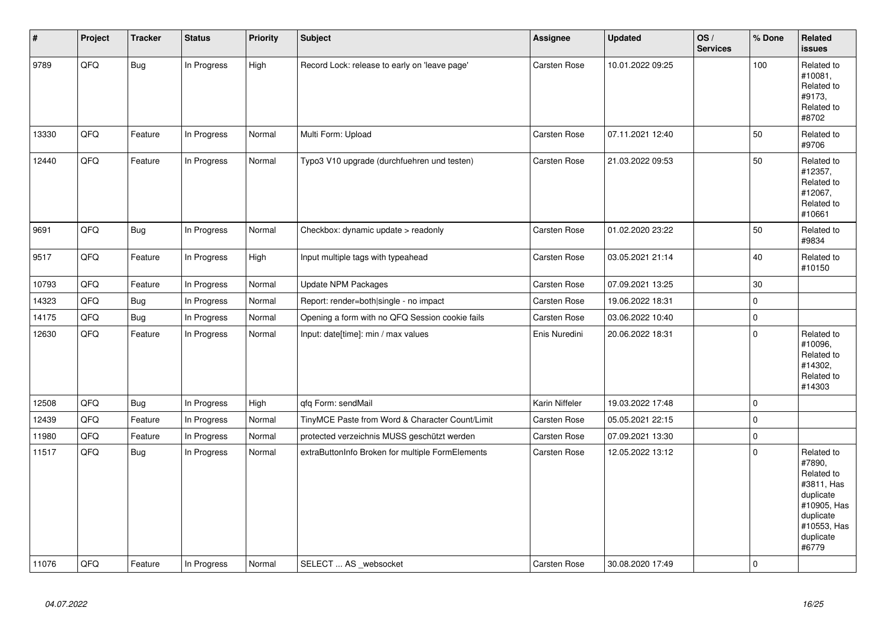| $\pmb{\#}$ | Project | <b>Tracker</b> | <b>Status</b> | <b>Priority</b> | <b>Subject</b>                                   | <b>Assignee</b>     | <b>Updated</b>   | OS/<br><b>Services</b> | % Done       | <b>Related</b><br><b>issues</b>                                                                                                |
|------------|---------|----------------|---------------|-----------------|--------------------------------------------------|---------------------|------------------|------------------------|--------------|--------------------------------------------------------------------------------------------------------------------------------|
| 9789       | QFQ     | Bug            | In Progress   | High            | Record Lock: release to early on 'leave page'    | Carsten Rose        | 10.01.2022 09:25 |                        | 100          | Related to<br>#10081,<br>Related to<br>#9173,<br>Related to<br>#8702                                                           |
| 13330      | QFQ     | Feature        | In Progress   | Normal          | Multi Form: Upload                               | <b>Carsten Rose</b> | 07.11.2021 12:40 |                        | 50           | Related to<br>#9706                                                                                                            |
| 12440      | QFQ     | Feature        | In Progress   | Normal          | Typo3 V10 upgrade (durchfuehren und testen)      | Carsten Rose        | 21.03.2022 09:53 |                        | 50           | Related to<br>#12357,<br>Related to<br>#12067,<br>Related to<br>#10661                                                         |
| 9691       | QFQ     | Bug            | In Progress   | Normal          | Checkbox: dynamic update > readonly              | <b>Carsten Rose</b> | 01.02.2020 23:22 |                        | 50           | Related to<br>#9834                                                                                                            |
| 9517       | QFQ     | Feature        | In Progress   | High            | Input multiple tags with typeahead               | Carsten Rose        | 03.05.2021 21:14 |                        | 40           | Related to<br>#10150                                                                                                           |
| 10793      | QFQ     | Feature        | In Progress   | Normal          | Update NPM Packages                              | Carsten Rose        | 07.09.2021 13:25 |                        | $30\,$       |                                                                                                                                |
| 14323      | QFQ     | <b>Bug</b>     | In Progress   | Normal          | Report: render=both single - no impact           | <b>Carsten Rose</b> | 19.06.2022 18:31 |                        | 0            |                                                                                                                                |
| 14175      | QFQ     | Bug            | In Progress   | Normal          | Opening a form with no QFQ Session cookie fails  | <b>Carsten Rose</b> | 03.06.2022 10:40 |                        | $\mathbf{0}$ |                                                                                                                                |
| 12630      | QFQ     | Feature        | In Progress   | Normal          | Input: date[time]: min / max values              | Enis Nuredini       | 20.06.2022 18:31 |                        | 0            | Related to<br>#10096,<br>Related to<br>#14302,<br>Related to<br>#14303                                                         |
| 12508      | QFQ     | <b>Bug</b>     | In Progress   | High            | qfq Form: sendMail                               | Karin Niffeler      | 19.03.2022 17:48 |                        | 0            |                                                                                                                                |
| 12439      | QFQ     | Feature        | In Progress   | Normal          | TinyMCE Paste from Word & Character Count/Limit  | Carsten Rose        | 05.05.2021 22:15 |                        | $\mathbf 0$  |                                                                                                                                |
| 11980      | QFQ     | Feature        | In Progress   | Normal          | protected verzeichnis MUSS geschützt werden      | Carsten Rose        | 07.09.2021 13:30 |                        | $\pmb{0}$    |                                                                                                                                |
| 11517      | QFQ     | Bug            | In Progress   | Normal          | extraButtonInfo Broken for multiple FormElements | <b>Carsten Rose</b> | 12.05.2022 13:12 |                        | $\mathbf 0$  | Related to<br>#7890,<br>Related to<br>#3811, Has<br>duplicate<br>#10905, Has<br>duplicate<br>#10553, Has<br>duplicate<br>#6779 |
| 11076      | QFQ     | Feature        | In Progress   | Normal          | SELECT  AS websocket                             | <b>Carsten Rose</b> | 30.08.2020 17:49 |                        | $\mathbf 0$  |                                                                                                                                |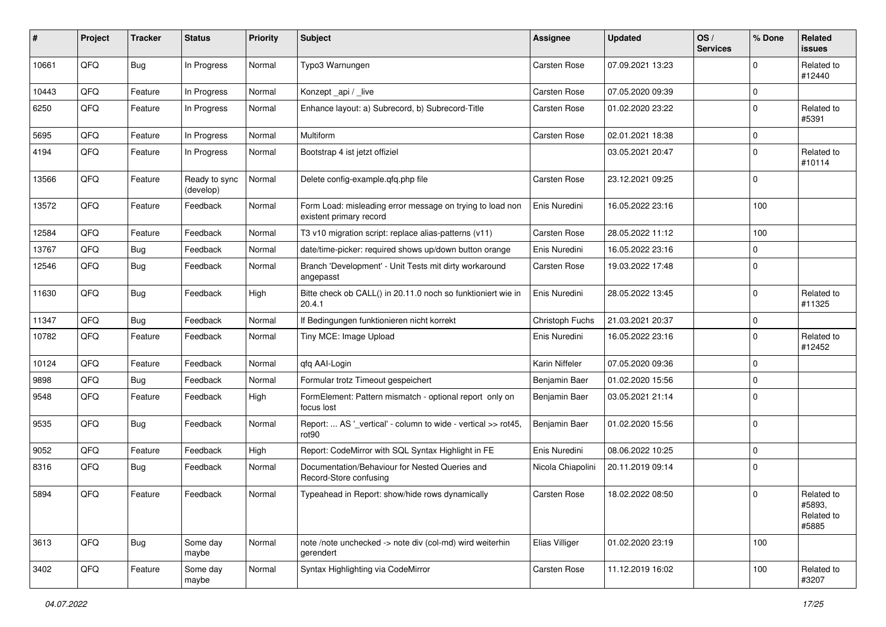| #     | Project | <b>Tracker</b> | <b>Status</b>              | <b>Priority</b> | <b>Subject</b>                                                                       | Assignee            | <b>Updated</b>   | OS/<br><b>Services</b> | % Done      | <b>Related</b><br>issues                    |
|-------|---------|----------------|----------------------------|-----------------|--------------------------------------------------------------------------------------|---------------------|------------------|------------------------|-------------|---------------------------------------------|
| 10661 | QFQ     | <b>Bug</b>     | In Progress                | Normal          | Typo3 Warnungen                                                                      | <b>Carsten Rose</b> | 07.09.2021 13:23 |                        | 0           | Related to<br>#12440                        |
| 10443 | QFQ     | Feature        | In Progress                | Normal          | Konzept_api / _live                                                                  | <b>Carsten Rose</b> | 07.05.2020 09:39 |                        | 0           |                                             |
| 6250  | QFQ     | Feature        | In Progress                | Normal          | Enhance layout: a) Subrecord, b) Subrecord-Title                                     | Carsten Rose        | 01.02.2020 23:22 |                        | 0           | Related to<br>#5391                         |
| 5695  | QFQ     | Feature        | In Progress                | Normal          | Multiform                                                                            | <b>Carsten Rose</b> | 02.01.2021 18:38 |                        | 0           |                                             |
| 4194  | QFQ     | Feature        | In Progress                | Normal          | Bootstrap 4 ist jetzt offiziel                                                       |                     | 03.05.2021 20:47 |                        | 0           | Related to<br>#10114                        |
| 13566 | QFQ     | Feature        | Ready to sync<br>(develop) | Normal          | Delete config-example.qfq.php file                                                   | <b>Carsten Rose</b> | 23.12.2021 09:25 |                        | 0           |                                             |
| 13572 | QFQ     | Feature        | Feedback                   | Normal          | Form Load: misleading error message on trying to load non<br>existent primary record | Enis Nuredini       | 16.05.2022 23:16 |                        | 100         |                                             |
| 12584 | QFQ     | Feature        | Feedback                   | Normal          | T3 v10 migration script: replace alias-patterns (v11)                                | <b>Carsten Rose</b> | 28.05.2022 11:12 |                        | 100         |                                             |
| 13767 | QFQ     | Bug            | Feedback                   | Normal          | date/time-picker: required shows up/down button orange                               | Enis Nuredini       | 16.05.2022 23:16 |                        | 0           |                                             |
| 12546 | QFQ     | <b>Bug</b>     | Feedback                   | Normal          | Branch 'Development' - Unit Tests mit dirty workaround<br>angepasst                  | Carsten Rose        | 19.03.2022 17:48 |                        | 0           |                                             |
| 11630 | QFQ     | Bug            | Feedback                   | High            | Bitte check ob CALL() in 20.11.0 noch so funktioniert wie in<br>20.4.1               | Enis Nuredini       | 28.05.2022 13:45 |                        | $\mathbf 0$ | Related to<br>#11325                        |
| 11347 | QFQ     | <b>Bug</b>     | Feedback                   | Normal          | If Bedingungen funktionieren nicht korrekt                                           | Christoph Fuchs     | 21.03.2021 20:37 |                        | 0           |                                             |
| 10782 | QFQ     | Feature        | Feedback                   | Normal          | Tiny MCE: Image Upload                                                               | Enis Nuredini       | 16.05.2022 23:16 |                        | 0           | Related to<br>#12452                        |
| 10124 | QFQ     | Feature        | Feedback                   | Normal          | qfq AAI-Login                                                                        | Karin Niffeler      | 07.05.2020 09:36 |                        | 0           |                                             |
| 9898  | QFQ     | <b>Bug</b>     | Feedback                   | Normal          | Formular trotz Timeout gespeichert                                                   | Benjamin Baer       | 01.02.2020 15:56 |                        | 0           |                                             |
| 9548  | QFQ     | Feature        | Feedback                   | High            | FormElement: Pattern mismatch - optional report only on<br>focus lost                | Benjamin Baer       | 03.05.2021 21:14 |                        | 0           |                                             |
| 9535  | QFQ     | <b>Bug</b>     | Feedback                   | Normal          | Report:  AS '_vertical' - column to wide - vertical >> rot45,<br>rot <sub>90</sub>   | Benjamin Baer       | 01.02.2020 15:56 |                        | 0           |                                             |
| 9052  | QFQ     | Feature        | Feedback                   | High            | Report: CodeMirror with SQL Syntax Highlight in FE                                   | Enis Nuredini       | 08.06.2022 10:25 |                        | 0           |                                             |
| 8316  | QFQ     | <b>Bug</b>     | Feedback                   | Normal          | Documentation/Behaviour for Nested Queries and<br>Record-Store confusing             | Nicola Chiapolini   | 20.11.2019 09:14 |                        | 0           |                                             |
| 5894  | QFQ     | Feature        | Feedback                   | Normal          | Typeahead in Report: show/hide rows dynamically                                      | Carsten Rose        | 18.02.2022 08:50 |                        | 0           | Related to<br>#5893,<br>Related to<br>#5885 |
| 3613  | QFQ     | Bug            | Some day<br>maybe          | Normal          | note /note unchecked -> note div (col-md) wird weiterhin<br>gerendert                | Elias Villiger      | 01.02.2020 23:19 |                        | 100         |                                             |
| 3402  | QFO     | Feature        | Some day<br>maybe          | Normal          | Syntax Highlighting via CodeMirror                                                   | Carsten Rose        | 11.12.2019 16:02 |                        | 100         | Related to<br>#3207                         |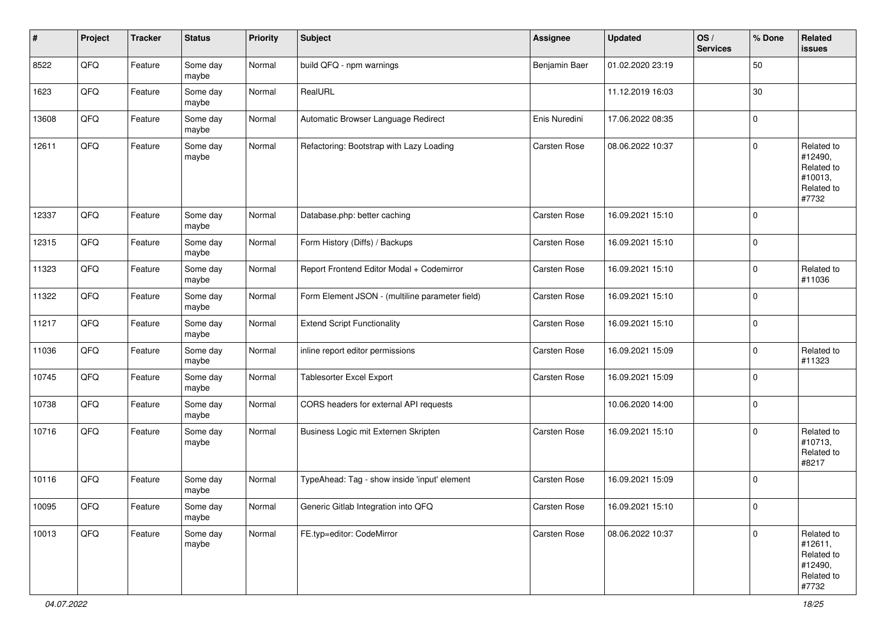| $\vert$ # | Project | <b>Tracker</b> | <b>Status</b>     | <b>Priority</b> | <b>Subject</b>                                  | <b>Assignee</b>     | <b>Updated</b>   | OS/<br><b>Services</b> | % Done      | <b>Related</b><br>issues                                              |
|-----------|---------|----------------|-------------------|-----------------|-------------------------------------------------|---------------------|------------------|------------------------|-------------|-----------------------------------------------------------------------|
| 8522      | QFQ     | Feature        | Some day<br>maybe | Normal          | build QFQ - npm warnings                        | Benjamin Baer       | 01.02.2020 23:19 |                        | 50          |                                                                       |
| 1623      | QFQ     | Feature        | Some day<br>maybe | Normal          | RealURL                                         |                     | 11.12.2019 16:03 |                        | $30\,$      |                                                                       |
| 13608     | QFQ     | Feature        | Some day<br>maybe | Normal          | Automatic Browser Language Redirect             | Enis Nuredini       | 17.06.2022 08:35 |                        | $\mathbf 0$ |                                                                       |
| 12611     | QFQ     | Feature        | Some day<br>maybe | Normal          | Refactoring: Bootstrap with Lazy Loading        | Carsten Rose        | 08.06.2022 10:37 |                        | 0           | Related to<br>#12490,<br>Related to<br>#10013,<br>Related to<br>#7732 |
| 12337     | QFQ     | Feature        | Some day<br>maybe | Normal          | Database.php: better caching                    | Carsten Rose        | 16.09.2021 15:10 |                        | $\mathbf 0$ |                                                                       |
| 12315     | QFQ     | Feature        | Some day<br>maybe | Normal          | Form History (Diffs) / Backups                  | Carsten Rose        | 16.09.2021 15:10 |                        | 0           |                                                                       |
| 11323     | QFQ     | Feature        | Some day<br>maybe | Normal          | Report Frontend Editor Modal + Codemirror       | <b>Carsten Rose</b> | 16.09.2021 15:10 |                        | $\mathbf 0$ | Related to<br>#11036                                                  |
| 11322     | QFQ     | Feature        | Some day<br>maybe | Normal          | Form Element JSON - (multiline parameter field) | <b>Carsten Rose</b> | 16.09.2021 15:10 |                        | $\mathbf 0$ |                                                                       |
| 11217     | QFO     | Feature        | Some day<br>maybe | Normal          | <b>Extend Script Functionality</b>              | Carsten Rose        | 16.09.2021 15:10 |                        | $\mathbf 0$ |                                                                       |
| 11036     | QFQ     | Feature        | Some day<br>maybe | Normal          | inline report editor permissions                | Carsten Rose        | 16.09.2021 15:09 |                        | $\mathbf 0$ | Related to<br>#11323                                                  |
| 10745     | QFQ     | Feature        | Some day<br>maybe | Normal          | Tablesorter Excel Export                        | Carsten Rose        | 16.09.2021 15:09 |                        | $\mathbf 0$ |                                                                       |
| 10738     | QFQ     | Feature        | Some day<br>maybe | Normal          | CORS headers for external API requests          |                     | 10.06.2020 14:00 |                        | $\mathbf 0$ |                                                                       |
| 10716     | QFQ     | Feature        | Some day<br>maybe | Normal          | Business Logic mit Externen Skripten            | Carsten Rose        | 16.09.2021 15:10 |                        | $\mathbf 0$ | Related to<br>#10713,<br>Related to<br>#8217                          |
| 10116     | QFQ     | Feature        | Some day<br>maybe | Normal          | TypeAhead: Tag - show inside 'input' element    | <b>Carsten Rose</b> | 16.09.2021 15:09 |                        | 0           |                                                                       |
| 10095     | QFG     | Feature        | Some day<br>maybe | Normal          | Generic Gitlab Integration into QFQ             | Carsten Rose        | 16.09.2021 15:10 |                        | $\mathbf 0$ |                                                                       |
| 10013     | QFG     | Feature        | Some day<br>maybe | Normal          | FE.typ=editor: CodeMirror                       | Carsten Rose        | 08.06.2022 10:37 |                        | $\mathbf 0$ | Related to<br>#12611,<br>Related to<br>#12490,<br>Related to<br>#7732 |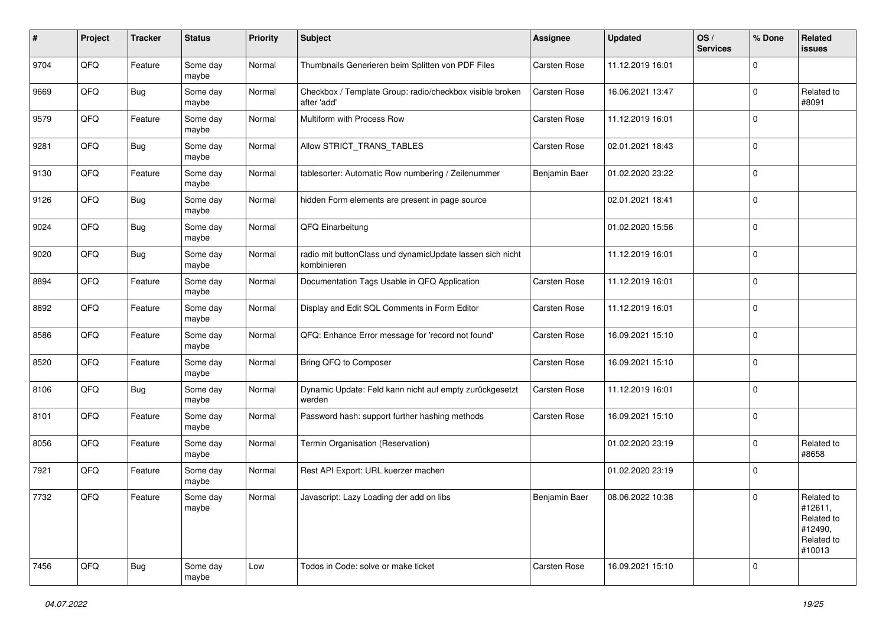| #    | Project | <b>Tracker</b> | <b>Status</b>     | <b>Priority</b> | <b>Subject</b>                                                           | <b>Assignee</b> | <b>Updated</b>   | OS/<br><b>Services</b> | % Done      | Related<br>issues                                                      |
|------|---------|----------------|-------------------|-----------------|--------------------------------------------------------------------------|-----------------|------------------|------------------------|-------------|------------------------------------------------------------------------|
| 9704 | QFQ     | Feature        | Some day<br>maybe | Normal          | Thumbnails Generieren beim Splitten von PDF Files                        | Carsten Rose    | 11.12.2019 16:01 |                        | $\Omega$    |                                                                        |
| 9669 | QFQ     | <b>Bug</b>     | Some day<br>maybe | Normal          | Checkbox / Template Group: radio/checkbox visible broken<br>after 'add'  | Carsten Rose    | 16.06.2021 13:47 |                        | $\mathbf 0$ | Related to<br>#8091                                                    |
| 9579 | QFQ     | Feature        | Some day<br>maybe | Normal          | Multiform with Process Row                                               | Carsten Rose    | 11.12.2019 16:01 |                        | $\Omega$    |                                                                        |
| 9281 | QFQ     | <b>Bug</b>     | Some day<br>maybe | Normal          | Allow STRICT_TRANS_TABLES                                                | Carsten Rose    | 02.01.2021 18:43 |                        | $\mathbf 0$ |                                                                        |
| 9130 | QFQ     | Feature        | Some day<br>maybe | Normal          | tablesorter: Automatic Row numbering / Zeilenummer                       | Benjamin Baer   | 01.02.2020 23:22 |                        | $\Omega$    |                                                                        |
| 9126 | QFQ     | <b>Bug</b>     | Some day<br>maybe | Normal          | hidden Form elements are present in page source                          |                 | 02.01.2021 18:41 |                        | 0           |                                                                        |
| 9024 | QFQ     | <b>Bug</b>     | Some day<br>maybe | Normal          | QFQ Einarbeitung                                                         |                 | 01.02.2020 15:56 |                        | $\mathbf 0$ |                                                                        |
| 9020 | QFQ     | <b>Bug</b>     | Some day<br>maybe | Normal          | radio mit buttonClass und dynamicUpdate lassen sich nicht<br>kombinieren |                 | 11.12.2019 16:01 |                        | $\mathbf 0$ |                                                                        |
| 8894 | QFQ     | Feature        | Some day<br>maybe | Normal          | Documentation Tags Usable in QFQ Application                             | Carsten Rose    | 11.12.2019 16:01 |                        | $\mathbf 0$ |                                                                        |
| 8892 | QFQ     | Feature        | Some day<br>maybe | Normal          | Display and Edit SQL Comments in Form Editor                             | Carsten Rose    | 11.12.2019 16:01 |                        | 0           |                                                                        |
| 8586 | QFQ     | Feature        | Some day<br>maybe | Normal          | QFQ: Enhance Error message for 'record not found'                        | Carsten Rose    | 16.09.2021 15:10 |                        | 0           |                                                                        |
| 8520 | QFQ     | Feature        | Some day<br>maybe | Normal          | Bring QFQ to Composer                                                    | Carsten Rose    | 16.09.2021 15:10 |                        | $\Omega$    |                                                                        |
| 8106 | QFQ     | Bug            | Some day<br>maybe | Normal          | Dynamic Update: Feld kann nicht auf empty zurückgesetzt<br>werden        | Carsten Rose    | 11.12.2019 16:01 |                        | 0           |                                                                        |
| 8101 | QFQ     | Feature        | Some day<br>maybe | Normal          | Password hash: support further hashing methods                           | Carsten Rose    | 16.09.2021 15:10 |                        | 0           |                                                                        |
| 8056 | QFQ     | Feature        | Some day<br>maybe | Normal          | Termin Organisation (Reservation)                                        |                 | 01.02.2020 23:19 |                        | 0           | Related to<br>#8658                                                    |
| 7921 | QFQ     | Feature        | Some day<br>maybe | Normal          | Rest API Export: URL kuerzer machen                                      |                 | 01.02.2020 23:19 |                        | 0           |                                                                        |
| 7732 | QFQ     | Feature        | Some day<br>maybe | Normal          | Javascript: Lazy Loading der add on libs                                 | Beniamin Baer   | 08.06.2022 10:38 |                        | $\mathbf 0$ | Related to<br>#12611,<br>Related to<br>#12490,<br>Related to<br>#10013 |
| 7456 | QFQ     | Bug            | Some day<br>maybe | Low             | Todos in Code: solve or make ticket                                      | Carsten Rose    | 16.09.2021 15:10 |                        | 0           |                                                                        |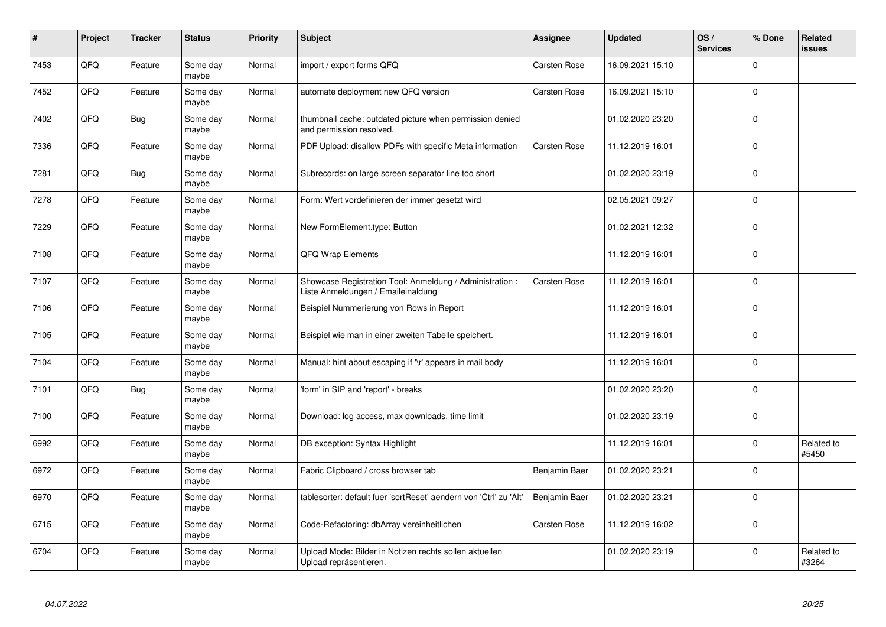| #    | Project | <b>Tracker</b> | <b>Status</b>     | <b>Priority</b> | <b>Subject</b>                                                                                 | Assignee      | <b>Updated</b>   | OS/<br><b>Services</b> | % Done      | Related<br>issues   |
|------|---------|----------------|-------------------|-----------------|------------------------------------------------------------------------------------------------|---------------|------------------|------------------------|-------------|---------------------|
| 7453 | QFQ     | Feature        | Some day<br>maybe | Normal          | import / export forms QFQ                                                                      | Carsten Rose  | 16.09.2021 15:10 |                        | $\Omega$    |                     |
| 7452 | QFQ     | Feature        | Some day<br>maybe | Normal          | automate deployment new QFQ version                                                            | Carsten Rose  | 16.09.2021 15:10 |                        | $\Omega$    |                     |
| 7402 | QFQ     | <b>Bug</b>     | Some day<br>maybe | Normal          | thumbnail cache: outdated picture when permission denied<br>and permission resolved.           |               | 01.02.2020 23:20 |                        | $\mathbf 0$ |                     |
| 7336 | QFQ     | Feature        | Some day<br>maybe | Normal          | PDF Upload: disallow PDFs with specific Meta information                                       | Carsten Rose  | 11.12.2019 16:01 |                        | $\Omega$    |                     |
| 7281 | QFQ     | <b>Bug</b>     | Some day<br>maybe | Normal          | Subrecords: on large screen separator line too short                                           |               | 01.02.2020 23:19 |                        | $\Omega$    |                     |
| 7278 | QFQ     | Feature        | Some day<br>maybe | Normal          | Form: Wert vordefinieren der immer gesetzt wird                                                |               | 02.05.2021 09:27 |                        | $\mathbf 0$ |                     |
| 7229 | QFQ     | Feature        | Some day<br>maybe | Normal          | New FormElement.type: Button                                                                   |               | 01.02.2021 12:32 |                        | $\Omega$    |                     |
| 7108 | QFQ     | Feature        | Some day<br>maybe | Normal          | QFQ Wrap Elements                                                                              |               | 11.12.2019 16:01 |                        | $\Omega$    |                     |
| 7107 | QFQ     | Feature        | Some day<br>maybe | Normal          | Showcase Registration Tool: Anmeldung / Administration :<br>Liste Anmeldungen / Emaileinaldung | Carsten Rose  | 11.12.2019 16:01 |                        | $\Omega$    |                     |
| 7106 | QFQ     | Feature        | Some day<br>maybe | Normal          | Beispiel Nummerierung von Rows in Report                                                       |               | 11.12.2019 16:01 |                        | 0           |                     |
| 7105 | QFQ     | Feature        | Some day<br>maybe | Normal          | Beispiel wie man in einer zweiten Tabelle speichert.                                           |               | 11.12.2019 16:01 |                        | $\mathbf 0$ |                     |
| 7104 | QFQ     | Feature        | Some day<br>maybe | Normal          | Manual: hint about escaping if '\r' appears in mail body                                       |               | 11.12.2019 16:01 |                        | $\mathbf 0$ |                     |
| 7101 | QFQ     | Bug            | Some day<br>maybe | Normal          | form' in SIP and 'report' - breaks                                                             |               | 01.02.2020 23:20 |                        | $\mathbf 0$ |                     |
| 7100 | QFQ     | Feature        | Some day<br>maybe | Normal          | Download: log access, max downloads, time limit                                                |               | 01.02.2020 23:19 |                        | $\pmb{0}$   |                     |
| 6992 | QFQ     | Feature        | Some day<br>maybe | Normal          | DB exception: Syntax Highlight                                                                 |               | 11.12.2019 16:01 |                        | $\Omega$    | Related to<br>#5450 |
| 6972 | QFQ     | Feature        | Some day<br>maybe | Normal          | Fabric Clipboard / cross browser tab                                                           | Benjamin Baer | 01.02.2020 23:21 |                        | $\Omega$    |                     |
| 6970 | QFQ     | Feature        | Some day<br>maybe | Normal          | tablesorter: default fuer 'sortReset' aendern von 'Ctrl' zu 'Alt'                              | Benjamin Baer | 01.02.2020 23:21 |                        | $\Omega$    |                     |
| 6715 | QFQ     | Feature        | Some day<br>maybe | Normal          | Code-Refactoring: dbArray vereinheitlichen                                                     | Carsten Rose  | 11.12.2019 16:02 |                        | $\Omega$    |                     |
| 6704 | QFQ     | Feature        | Some day<br>maybe | Normal          | Upload Mode: Bilder in Notizen rechts sollen aktuellen<br>Upload repräsentieren.               |               | 01.02.2020 23:19 |                        | $\Omega$    | Related to<br>#3264 |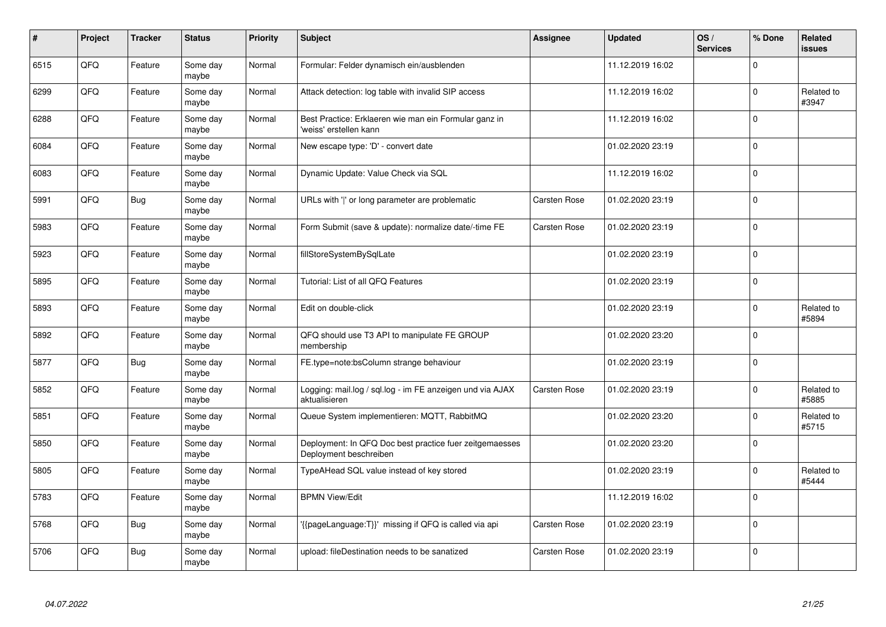| #    | Project | <b>Tracker</b> | <b>Status</b>     | Priority | <b>Subject</b>                                                                    | Assignee            | <b>Updated</b>   | OS/<br><b>Services</b> | % Done      | <b>Related</b><br><b>issues</b> |
|------|---------|----------------|-------------------|----------|-----------------------------------------------------------------------------------|---------------------|------------------|------------------------|-------------|---------------------------------|
| 6515 | QFQ     | Feature        | Some day<br>maybe | Normal   | Formular: Felder dynamisch ein/ausblenden                                         |                     | 11.12.2019 16:02 |                        | $\Omega$    |                                 |
| 6299 | QFQ     | Feature        | Some day<br>maybe | Normal   | Attack detection: log table with invalid SIP access                               |                     | 11.12.2019 16:02 |                        | $\pmb{0}$   | Related to<br>#3947             |
| 6288 | QFQ     | Feature        | Some day<br>maybe | Normal   | Best Practice: Erklaeren wie man ein Formular ganz in<br>'weiss' erstellen kann   |                     | 11.12.2019 16:02 |                        | $\Omega$    |                                 |
| 6084 | QFQ     | Feature        | Some day<br>maybe | Normal   | New escape type: 'D' - convert date                                               |                     | 01.02.2020 23:19 |                        | $\mathbf 0$ |                                 |
| 6083 | QFQ     | Feature        | Some day<br>maybe | Normal   | Dynamic Update: Value Check via SQL                                               |                     | 11.12.2019 16:02 |                        | $\mathbf 0$ |                                 |
| 5991 | QFQ     | <b>Bug</b>     | Some day<br>maybe | Normal   | URLs with ' ' or long parameter are problematic                                   | <b>Carsten Rose</b> | 01.02.2020 23:19 |                        | $\mathbf 0$ |                                 |
| 5983 | QFQ     | Feature        | Some day<br>maybe | Normal   | Form Submit (save & update): normalize date/-time FE                              | Carsten Rose        | 01.02.2020 23:19 |                        | $\Omega$    |                                 |
| 5923 | QFQ     | Feature        | Some day<br>maybe | Normal   | fillStoreSystemBySqlLate                                                          |                     | 01.02.2020 23:19 |                        | $\Omega$    |                                 |
| 5895 | QFQ     | Feature        | Some day<br>maybe | Normal   | Tutorial: List of all QFQ Features                                                |                     | 01.02.2020 23:19 |                        | $\Omega$    |                                 |
| 5893 | QFQ     | Feature        | Some day<br>maybe | Normal   | Edit on double-click                                                              |                     | 01.02.2020 23:19 |                        | 0           | Related to<br>#5894             |
| 5892 | QFQ     | Feature        | Some day<br>maybe | Normal   | QFQ should use T3 API to manipulate FE GROUP<br>membership                        |                     | 01.02.2020 23:20 |                        | $\mathbf 0$ |                                 |
| 5877 | QFQ     | <b>Bug</b>     | Some day<br>maybe | Normal   | FE.type=note:bsColumn strange behaviour                                           |                     | 01.02.2020 23:19 |                        | $\pmb{0}$   |                                 |
| 5852 | QFQ     | Feature        | Some day<br>maybe | Normal   | Logging: mail.log / sql.log - im FE anzeigen und via AJAX<br>aktualisieren        | Carsten Rose        | 01.02.2020 23:19 |                        | $\Omega$    | Related to<br>#5885             |
| 5851 | QFQ     | Feature        | Some day<br>maybe | Normal   | Queue System implementieren: MQTT, RabbitMQ                                       |                     | 01.02.2020 23:20 |                        | $\pmb{0}$   | Related to<br>#5715             |
| 5850 | QFQ     | Feature        | Some day<br>maybe | Normal   | Deployment: In QFQ Doc best practice fuer zeitgemaesses<br>Deployment beschreiben |                     | 01.02.2020 23:20 |                        | $\Omega$    |                                 |
| 5805 | QFQ     | Feature        | Some day<br>maybe | Normal   | TypeAHead SQL value instead of key stored                                         |                     | 01.02.2020 23:19 |                        | $\Omega$    | Related to<br>#5444             |
| 5783 | QFQ     | Feature        | Some day<br>maybe | Normal   | <b>BPMN View/Edit</b>                                                             |                     | 11.12.2019 16:02 |                        | $\Omega$    |                                 |
| 5768 | QFQ     | <b>Bug</b>     | Some day<br>maybe | Normal   | '{{pageLanguage:T}}' missing if QFQ is called via api                             | Carsten Rose        | 01.02.2020 23:19 |                        | $\Omega$    |                                 |
| 5706 | QFQ     | Bug            | Some day<br>maybe | Normal   | upload: fileDestination needs to be sanatized                                     | Carsten Rose        | 01.02.2020 23:19 |                        | $\Omega$    |                                 |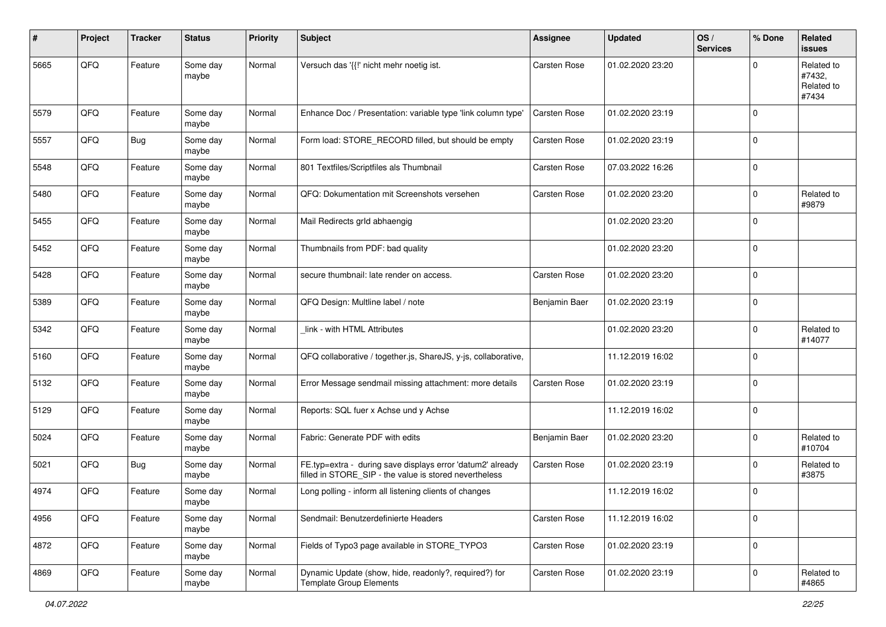| $\#$ | Project | <b>Tracker</b> | <b>Status</b>     | <b>Priority</b> | <b>Subject</b>                                                                                                       | <b>Assignee</b>     | <b>Updated</b>   | OS/<br><b>Services</b> | % Done      | Related<br>issues                           |
|------|---------|----------------|-------------------|-----------------|----------------------------------------------------------------------------------------------------------------------|---------------------|------------------|------------------------|-------------|---------------------------------------------|
| 5665 | QFQ     | Feature        | Some day<br>maybe | Normal          | Versuch das '{{!' nicht mehr noetig ist.                                                                             | Carsten Rose        | 01.02.2020 23:20 |                        | $\Omega$    | Related to<br>#7432,<br>Related to<br>#7434 |
| 5579 | QFQ     | Feature        | Some day<br>maybe | Normal          | Enhance Doc / Presentation: variable type 'link column type'                                                         | <b>Carsten Rose</b> | 01.02.2020 23:19 |                        | $\mathbf 0$ |                                             |
| 5557 | QFQ     | <b>Bug</b>     | Some day<br>maybe | Normal          | Form load: STORE_RECORD filled, but should be empty                                                                  | Carsten Rose        | 01.02.2020 23:19 |                        | $\mathbf 0$ |                                             |
| 5548 | QFQ     | Feature        | Some day<br>maybe | Normal          | 801 Textfiles/Scriptfiles als Thumbnail                                                                              | Carsten Rose        | 07.03.2022 16:26 |                        | $\mathbf 0$ |                                             |
| 5480 | QFQ     | Feature        | Some day<br>maybe | Normal          | QFQ: Dokumentation mit Screenshots versehen                                                                          | Carsten Rose        | 01.02.2020 23:20 |                        | $\mathbf 0$ | Related to<br>#9879                         |
| 5455 | QFQ     | Feature        | Some day<br>maybe | Normal          | Mail Redirects grld abhaengig                                                                                        |                     | 01.02.2020 23:20 |                        | $\mathbf 0$ |                                             |
| 5452 | QFQ     | Feature        | Some day<br>maybe | Normal          | Thumbnails from PDF: bad quality                                                                                     |                     | 01.02.2020 23:20 |                        | $\mathbf 0$ |                                             |
| 5428 | QFQ     | Feature        | Some day<br>maybe | Normal          | secure thumbnail: late render on access.                                                                             | Carsten Rose        | 01.02.2020 23:20 |                        | $\mathbf 0$ |                                             |
| 5389 | QFQ     | Feature        | Some day<br>maybe | Normal          | QFQ Design: Multline label / note                                                                                    | Benjamin Baer       | 01.02.2020 23:19 |                        | $\mathbf 0$ |                                             |
| 5342 | QFQ     | Feature        | Some day<br>maybe | Normal          | link - with HTML Attributes                                                                                          |                     | 01.02.2020 23:20 |                        | $\mathbf 0$ | Related to<br>#14077                        |
| 5160 | QFQ     | Feature        | Some day<br>maybe | Normal          | QFQ collaborative / together.js, ShareJS, y-js, collaborative,                                                       |                     | 11.12.2019 16:02 |                        | $\mathbf 0$ |                                             |
| 5132 | QFQ     | Feature        | Some day<br>maybe | Normal          | Error Message sendmail missing attachment: more details                                                              | Carsten Rose        | 01.02.2020 23:19 |                        | $\mathbf 0$ |                                             |
| 5129 | QFQ     | Feature        | Some day<br>maybe | Normal          | Reports: SQL fuer x Achse und y Achse                                                                                |                     | 11.12.2019 16:02 |                        | $\mathbf 0$ |                                             |
| 5024 | QFQ     | Feature        | Some day<br>maybe | Normal          | Fabric: Generate PDF with edits                                                                                      | Benjamin Baer       | 01.02.2020 23:20 |                        | $\mathbf 0$ | Related to<br>#10704                        |
| 5021 | QFQ     | <b>Bug</b>     | Some day<br>maybe | Normal          | FE.typ=extra - during save displays error 'datum2' already<br>filled in STORE_SIP - the value is stored nevertheless | Carsten Rose        | 01.02.2020 23:19 |                        | $\mathbf 0$ | Related to<br>#3875                         |
| 4974 | QFQ     | Feature        | Some day<br>maybe | Normal          | Long polling - inform all listening clients of changes                                                               |                     | 11.12.2019 16:02 |                        | $\mathbf 0$ |                                             |
| 4956 | QFQ     | Feature        | Some day<br>maybe | Normal          | Sendmail: Benutzerdefinierte Headers                                                                                 | Carsten Rose        | 11.12.2019 16:02 |                        | $\mathbf 0$ |                                             |
| 4872 | QFQ     | Feature        | Some day<br>maybe | Normal          | Fields of Typo3 page available in STORE_TYPO3                                                                        | Carsten Rose        | 01.02.2020 23:19 |                        | $\mathbf 0$ |                                             |
| 4869 | QFG     | Feature        | Some day<br>maybe | Normal          | Dynamic Update (show, hide, readonly?, required?) for<br><b>Template Group Elements</b>                              | Carsten Rose        | 01.02.2020 23:19 |                        | $\mathbf 0$ | Related to<br>#4865                         |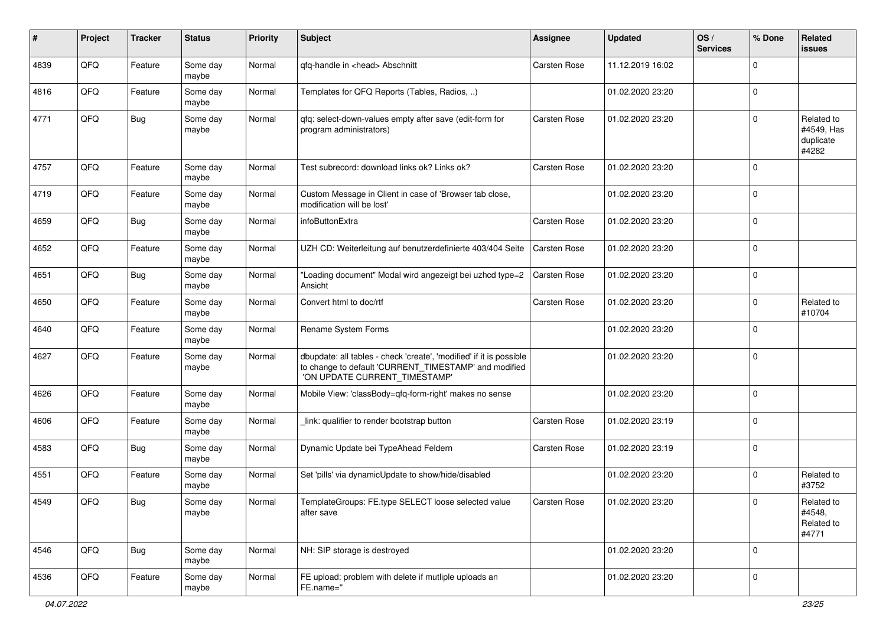| ∦    | Project | <b>Tracker</b> | <b>Status</b>     | <b>Priority</b> | Subject                                                                                                                                                       | <b>Assignee</b>     | <b>Updated</b>   | OS/<br><b>Services</b> | % Done      | Related<br>issues                              |
|------|---------|----------------|-------------------|-----------------|---------------------------------------------------------------------------------------------------------------------------------------------------------------|---------------------|------------------|------------------------|-------------|------------------------------------------------|
| 4839 | QFQ     | Feature        | Some day<br>maybe | Normal          | qfq-handle in <head> Abschnitt</head>                                                                                                                         | <b>Carsten Rose</b> | 11.12.2019 16:02 |                        | 0           |                                                |
| 4816 | QFQ     | Feature        | Some day<br>maybe | Normal          | Templates for QFQ Reports (Tables, Radios, )                                                                                                                  |                     | 01.02.2020 23:20 |                        | 0           |                                                |
| 4771 | QFQ     | <b>Bug</b>     | Some day<br>maybe | Normal          | qfq: select-down-values empty after save (edit-form for<br>program administrators)                                                                            | <b>Carsten Rose</b> | 01.02.2020 23:20 |                        | 0           | Related to<br>#4549, Has<br>duplicate<br>#4282 |
| 4757 | QFQ     | Feature        | Some day<br>maybe | Normal          | Test subrecord: download links ok? Links ok?                                                                                                                  | Carsten Rose        | 01.02.2020 23:20 |                        | 0           |                                                |
| 4719 | QFQ     | Feature        | Some day<br>maybe | Normal          | Custom Message in Client in case of 'Browser tab close,<br>modification will be lost'                                                                         |                     | 01.02.2020 23:20 |                        | 0           |                                                |
| 4659 | QFQ     | Bug            | Some day<br>maybe | Normal          | infoButtonExtra                                                                                                                                               | Carsten Rose        | 01.02.2020 23:20 |                        | $\mathbf 0$ |                                                |
| 4652 | QFQ     | Feature        | Some day<br>maybe | Normal          | UZH CD: Weiterleitung auf benutzerdefinierte 403/404 Seite                                                                                                    | <b>Carsten Rose</b> | 01.02.2020 23:20 |                        | 0           |                                                |
| 4651 | QFQ     | Bug            | Some day<br>maybe | Normal          | "Loading document" Modal wird angezeigt bei uzhcd type=2<br>Ansicht                                                                                           | <b>Carsten Rose</b> | 01.02.2020 23:20 |                        | 0           |                                                |
| 4650 | QFQ     | Feature        | Some day<br>maybe | Normal          | Convert html to doc/rtf                                                                                                                                       | Carsten Rose        | 01.02.2020 23:20 |                        | 0           | Related to<br>#10704                           |
| 4640 | QFQ     | Feature        | Some day<br>maybe | Normal          | Rename System Forms                                                                                                                                           |                     | 01.02.2020 23:20 |                        | $\Omega$    |                                                |
| 4627 | QFQ     | Feature        | Some day<br>maybe | Normal          | dbupdate: all tables - check 'create', 'modified' if it is possible<br>to change to default 'CURRENT_TIMESTAMP' and modified<br>'ON UPDATE CURRENT_TIMESTAMP' |                     | 01.02.2020 23:20 |                        | 0           |                                                |
| 4626 | QFQ     | Feature        | Some day<br>maybe | Normal          | Mobile View: 'classBody=qfq-form-right' makes no sense                                                                                                        |                     | 01.02.2020 23:20 |                        | $\mathbf 0$ |                                                |
| 4606 | QFQ     | Feature        | Some day<br>maybe | Normal          | link: qualifier to render bootstrap button                                                                                                                    | <b>Carsten Rose</b> | 01.02.2020 23:19 |                        | $\Omega$    |                                                |
| 4583 | QFQ     | <b>Bug</b>     | Some day<br>maybe | Normal          | Dynamic Update bei TypeAhead Feldern                                                                                                                          | Carsten Rose        | 01.02.2020 23:19 |                        | 0           |                                                |
| 4551 | QFQ     | Feature        | Some day<br>maybe | Normal          | Set 'pills' via dynamicUpdate to show/hide/disabled                                                                                                           |                     | 01.02.2020 23:20 |                        | $\mathbf 0$ | Related to<br>#3752                            |
| 4549 | QFG     | <b>Bug</b>     | Some day<br>maybe | Normal          | TemplateGroups: FE.type SELECT loose selected value<br>after save                                                                                             | Carsten Rose        | 01.02.2020 23:20 |                        | 0           | Related to<br>#4548,<br>Related to<br>#4771    |
| 4546 | QFQ     | <b>Bug</b>     | Some day<br>maybe | Normal          | NH: SIP storage is destroyed                                                                                                                                  |                     | 01.02.2020 23:20 |                        | $\Omega$    |                                                |
| 4536 | QFQ     | Feature        | Some day<br>maybe | Normal          | FE upload: problem with delete if mutliple uploads an<br>FE.name="                                                                                            |                     | 01.02.2020 23:20 |                        | 0           |                                                |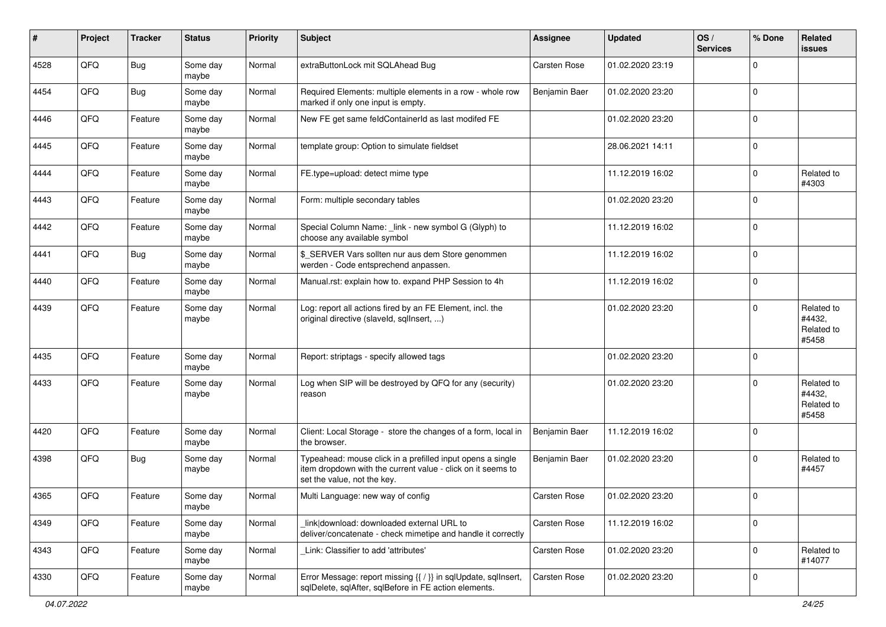| #    | Project | <b>Tracker</b> | <b>Status</b>     | <b>Priority</b> | <b>Subject</b>                                                                                                                                           | <b>Assignee</b>     | <b>Updated</b>   | OS/<br><b>Services</b> | % Done      | <b>Related</b><br>issues                    |
|------|---------|----------------|-------------------|-----------------|----------------------------------------------------------------------------------------------------------------------------------------------------------|---------------------|------------------|------------------------|-------------|---------------------------------------------|
| 4528 | QFQ     | <b>Bug</b>     | Some day<br>maybe | Normal          | extraButtonLock mit SQLAhead Bug                                                                                                                         | <b>Carsten Rose</b> | 01.02.2020 23:19 |                        | 0           |                                             |
| 4454 | QFQ     | Bug            | Some day<br>maybe | Normal          | Required Elements: multiple elements in a row - whole row<br>marked if only one input is empty.                                                          | Benjamin Baer       | 01.02.2020 23:20 |                        | $\mathbf 0$ |                                             |
| 4446 | QFQ     | Feature        | Some day<br>maybe | Normal          | New FE get same feldContainerId as last modifed FE                                                                                                       |                     | 01.02.2020 23:20 |                        | $\mathbf 0$ |                                             |
| 4445 | QFQ     | Feature        | Some day<br>maybe | Normal          | template group: Option to simulate fieldset                                                                                                              |                     | 28.06.2021 14:11 |                        | 0           |                                             |
| 4444 | QFQ     | Feature        | Some day<br>maybe | Normal          | FE.type=upload: detect mime type                                                                                                                         |                     | 11.12.2019 16:02 |                        | $\mathbf 0$ | Related to<br>#4303                         |
| 4443 | QFQ     | Feature        | Some day<br>maybe | Normal          | Form: multiple secondary tables                                                                                                                          |                     | 01.02.2020 23:20 |                        | 0           |                                             |
| 4442 | QFQ     | Feature        | Some day<br>maybe | Normal          | Special Column Name: _link - new symbol G (Glyph) to<br>choose any available symbol                                                                      |                     | 11.12.2019 16:02 |                        | $\mathbf 0$ |                                             |
| 4441 | QFQ     | <b>Bug</b>     | Some day<br>maybe | Normal          | \$_SERVER Vars sollten nur aus dem Store genommen<br>werden - Code entsprechend anpassen.                                                                |                     | 11.12.2019 16:02 |                        | $\mathbf 0$ |                                             |
| 4440 | QFQ     | Feature        | Some day<br>maybe | Normal          | Manual.rst: explain how to. expand PHP Session to 4h                                                                                                     |                     | 11.12.2019 16:02 |                        | $\mathbf 0$ |                                             |
| 4439 | QFQ     | Feature        | Some day<br>maybe | Normal          | Log: report all actions fired by an FE Element, incl. the<br>original directive (slaveld, sqllnsert, )                                                   |                     | 01.02.2020 23:20 |                        | 0           | Related to<br>#4432,<br>Related to<br>#5458 |
| 4435 | QFQ     | Feature        | Some day<br>maybe | Normal          | Report: striptags - specify allowed tags                                                                                                                 |                     | 01.02.2020 23:20 |                        | $\mathbf 0$ |                                             |
| 4433 | QFQ     | Feature        | Some day<br>maybe | Normal          | Log when SIP will be destroyed by QFQ for any (security)<br>reason                                                                                       |                     | 01.02.2020 23:20 |                        | 0           | Related to<br>#4432,<br>Related to<br>#5458 |
| 4420 | QFQ     | Feature        | Some day<br>maybe | Normal          | Client: Local Storage - store the changes of a form, local in<br>the browser.                                                                            | Benjamin Baer       | 11.12.2019 16:02 |                        | $\mathbf 0$ |                                             |
| 4398 | QFQ     | Bug            | Some day<br>maybe | Normal          | Typeahead: mouse click in a prefilled input opens a single<br>item dropdown with the current value - click on it seems to<br>set the value, not the key. | Benjamin Baer       | 01.02.2020 23:20 |                        | $\mathbf 0$ | Related to<br>#4457                         |
| 4365 | QFQ     | Feature        | Some day<br>maybe | Normal          | Multi Language: new way of config                                                                                                                        | <b>Carsten Rose</b> | 01.02.2020 23:20 |                        | $\mathbf 0$ |                                             |
| 4349 | QFQ     | Feature        | Some day<br>maybe | Normal          | link download: downloaded external URL to<br>deliver/concatenate - check mimetipe and handle it correctly                                                | Carsten Rose        | 11.12.2019 16:02 |                        | $\mathbf 0$ |                                             |
| 4343 | QFQ     | Feature        | Some day<br>maybe | Normal          | Link: Classifier to add 'attributes'                                                                                                                     | Carsten Rose        | 01.02.2020 23:20 |                        | 0           | Related to<br>#14077                        |
| 4330 | QFO     | Feature        | Some day<br>maybe | Normal          | Error Message: report missing {{ / }} in sqlUpdate, sqlInsert,<br>sqlDelete, sqlAfter, sqlBefore in FE action elements.                                  | Carsten Rose        | 01.02.2020 23:20 |                        | 0           |                                             |